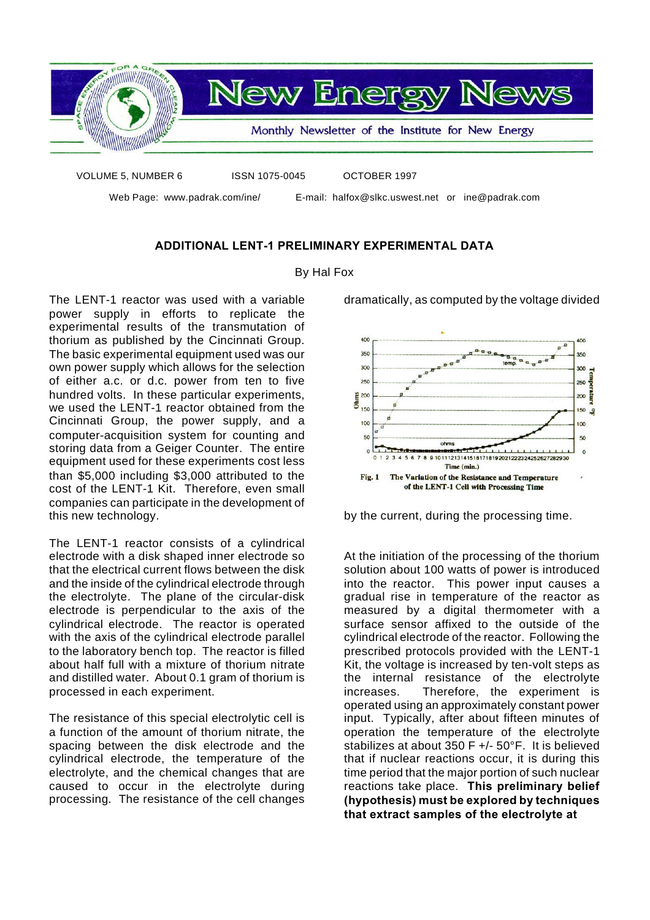

VOLUME 5, NUMBER 6 ISSN 1075-0045 OCTOBER 1997

Web Page: www.padrak.com/ine/ E-mail: halfox@slkc.uswest.net or ine@padrak.com

**ADDITIONAL LENT-1 PRELIMINARY EXPERIMENTAL DATA**

## By Hal Fox

The LENT-1 reactor was used with a variable power supply in efforts to replicate the experimental results of the transmutation of thorium as published by the Cincinnati Group. The basic experimental equipment used was our own power supply which allows for the selection of either a.c. or d.c. power from ten to five hundred volts. In these particular experiments, we used the LENT-1 reactor obtained from the Cincinnati Group, the power supply, and a computer-acquisition system for counting and storing data from a Geiger Counter. The entire equipment used for these experiments cost less than \$5,000 including \$3,000 attributed to the cost of the LENT-1 Kit. Therefore, even small companies can participate in the development of this new technology.

The LENT-1 reactor consists of a cylindrical electrode with a disk shaped inner electrode so that the electrical current flows between the disk and the inside of the cylindrical electrode through the electrolyte. The plane of the circular-disk electrode is perpendicular to the axis of the cylindrical electrode. The reactor is operated with the axis of the cylindrical electrode parallel to the laboratory bench top. The reactor is filled about half full with a mixture of thorium nitrate and distilled water. About 0.1 gram of thorium is processed in each experiment.

The resistance of this special electrolytic cell is a function of the amount of thorium nitrate, the spacing between the disk electrode and the cylindrical electrode, the temperature of the electrolyte, and the chemical changes that are caused to occur in the electrolyte during processing. The resistance of the cell changes

dramatically, as computed by the voltage divided



by the current, during the processing time.

At the initiation of the processing of the thorium solution about 100 watts of power is introduced into the reactor. This power input causes a gradual rise in temperature of the reactor as measured by a digital thermometer with a surface sensor affixed to the outside of the cylindrical electrode of the reactor. Following the prescribed protocols provided with the LENT-1 Kit, the voltage is increased by ten-volt steps as the internal resistance of the electrolyte increases. Therefore, the experiment is operated using an approximately constant power input. Typically, after about fifteen minutes of operation the temperature of the electrolyte stabilizes at about 350 F +/- 50°F. It is believed that if nuclear reactions occur, it is during this time period that the major portion of such nuclear reactions take place. **This preliminary belief (hypothesis) must be explored by techniques that extract samples of the electrolyte at**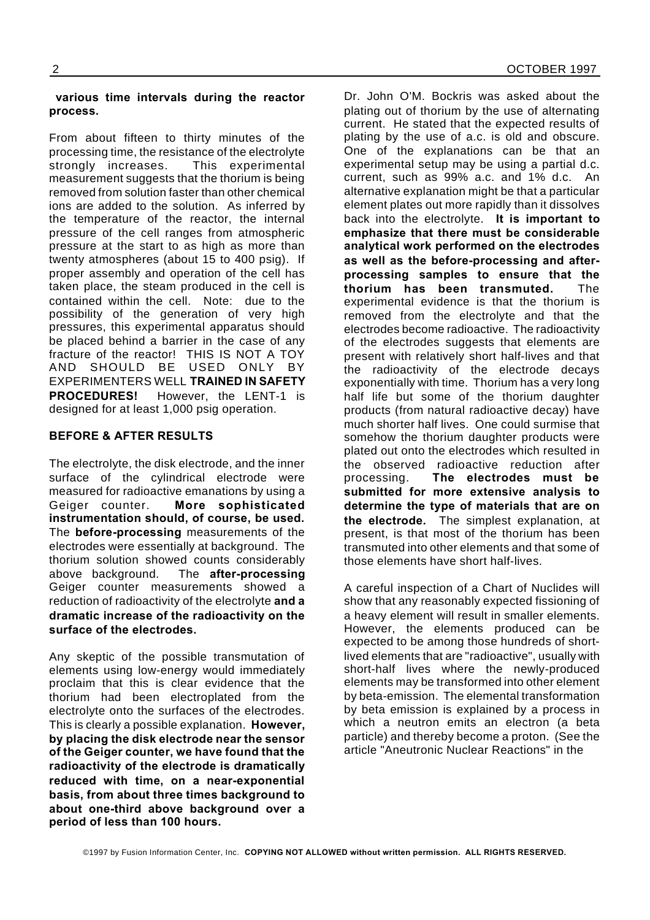## **various time intervals during the reactor process.**

From about fifteen to thirty minutes of the processing time, the resistance of the electrolyte strongly increases. This experimental measurement suggests that the thorium is being removed from solution faster than other chemical ions are added to the solution. As inferred by the temperature of the reactor, the internal pressure of the cell ranges from atmospheric pressure at the start to as high as more than twenty atmospheres (about 15 to 400 psig). If proper assembly and operation of the cell has taken place, the steam produced in the cell is contained within the cell. Note: due to the possibility of the generation of very high pressures, this experimental apparatus should be placed behind a barrier in the case of any fracture of the reactor! THIS IS NOT A TOY AND SHOULD BE USED ONLY BY EXPERIMENTERS WELL **TRAINED IN SAFETY PROCEDURES!** However, the LENT-1 is designed for at least 1,000 psig operation.

## **BEFORE & AFTER RESULTS**

The electrolyte, the disk electrode, and the inner surface of the cylindrical electrode were measured for radioactive emanations by using a Geiger counter. **More sophisticated instrumentation should, of course, be used.** The **before-processing** measurements of the electrodes were essentially at background. The thorium solution showed counts considerably above background. The **after-processing** Geiger counter measurements showed a reduction of radioactivity of the electrolyte **and a dramatic increase of the radioactivity on the surface of the electrodes.**

Any skeptic of the possible transmutation of elements using low-energy would immediately proclaim that this is clear evidence that the thorium had been electroplated from the electrolyte onto the surfaces of the electrodes. This is clearly a possible explanation. **However, by placing the disk electrode near the sensor of the Geiger counter, we have found that the radioactivity of the electrode is dramatically reduced with time, on a near-exponential basis, from about three times background to about one-third above background over a period of less than 100 hours.**

Dr. John O'M. Bockris was asked about the plating out of thorium by the use of alternating current. He stated that the expected results of plating by the use of a.c. is old and obscure. One of the explanations can be that an experimental setup may be using a partial d.c. current, such as 99% a.c. and 1% d.c. An alternative explanation might be that a particular element plates out more rapidly than it dissolves back into the electrolyte. **It is important to emphasize that there must be considerable analytical work performed on the electrodes as well as the before-processing and afterprocessing samples to ensure that the thorium has been transmuted.** The experimental evidence is that the thorium is removed from the electrolyte and that the electrodes become radioactive. The radioactivity of the electrodes suggests that elements are present with relatively short half-lives and that the radioactivity of the electrode decays exponentially with time. Thorium has a very long half life but some of the thorium daughter products (from natural radioactive decay) have much shorter half lives. One could surmise that somehow the thorium daughter products were plated out onto the electrodes which resulted in the observed radioactive reduction after processing. **The electrodes must be submitted for more extensive analysis to determine the type of materials that are on the electrode.** The simplest explanation, at present, is that most of the thorium has been transmuted into other elements and that some of those elements have short half-lives.

A careful inspection of a Chart of Nuclides will show that any reasonably expected fissioning of a heavy element will result in smaller elements. However, the elements produced can be expected to be among those hundreds of shortlived elements that are "radioactive", usually with short-half lives where the newly-produced elements may be transformed into other element by beta-emission. The elemental transformation by beta emission is explained by a process in which a neutron emits an electron (a beta particle) and thereby become a proton. (See the article "Aneutronic Nuclear Reactions" in the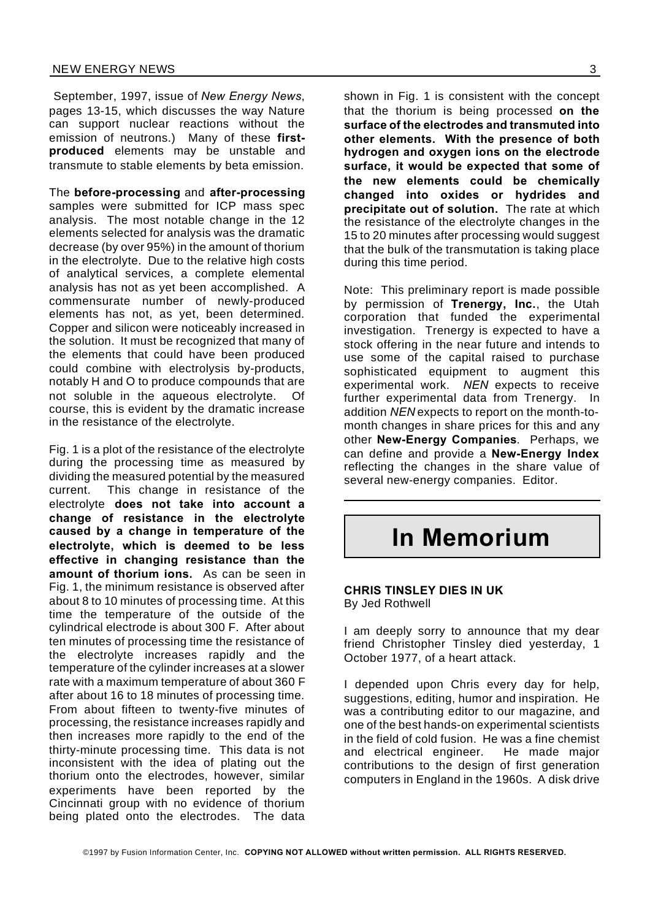September, 1997, issue of *New Energy News*, pages 13-15, which discusses the way Nature can support nuclear reactions without the emission of neutrons.) Many of these **firstproduced** elements may be unstable and transmute to stable elements by beta emission.

The **before-processing** and **after-processing** samples were submitted for ICP mass spec analysis. The most notable change in the 12 elements selected for analysis was the dramatic decrease (by over 95%) in the amount of thorium in the electrolyte. Due to the relative high costs of analytical services, a complete elemental analysis has not as yet been accomplished. A commensurate number of newly-produced elements has not, as yet, been determined. Copper and silicon were noticeably increased in the solution. It must be recognized that many of the elements that could have been produced could combine with electrolysis by-products, notably H and O to produce compounds that are not soluble in the aqueous electrolyte. Of course, this is evident by the dramatic increase in the resistance of the electrolyte.

Fig. 1 is a plot of the resistance of the electrolyte during the processing time as measured by dividing the measured potential by the measured current. This change in resistance of the electrolyte **does not take into account a change of resistance in the electrolyte caused by a change in temperature of the electrolyte, which is deemed to be less effective in changing resistance than the amount of thorium ions.** As can be seen in Fig. 1, the minimum resistance is observed after about 8 to 10 minutes of processing time. At this time the temperature of the outside of the cylindrical electrode is about 300 F. After about ten minutes of processing time the resistance of the electrolyte increases rapidly and the temperature of the cylinder increases at a slower rate with a maximum temperature of about 360 F after about 16 to 18 minutes of processing time. From about fifteen to twenty-five minutes of processing, the resistance increases rapidly and then increases more rapidly to the end of the thirty-minute processing time. This data is not inconsistent with the idea of plating out the thorium onto the electrodes, however, similar experiments have been reported by the Cincinnati group with no evidence of thorium being plated onto the electrodes. The data

shown in Fig. 1 is consistent with the concept that the thorium is being processed **on the surface of the electrodes and transmuted into other elements. With the presence of both hydrogen and oxygen ions on the electrode surface, it would be expected that some of the new elements could be chemically changed into oxides or hydrides and precipitate out of solution.** The rate at which the resistance of the electrolyte changes in the 15 to 20 minutes after processing would suggest that the bulk of the transmutation is taking place during this time period.

Note: This preliminary report is made possible by permission of **Trenergy, Inc.**, the Utah corporation that funded the experimental investigation. Trenergy is expected to have a stock offering in the near future and intends to use some of the capital raised to purchase sophisticated equipment to augment this experimental work. *NEN* expects to receive further experimental data from Trenergy. In addition *NEN* expects to report on the month-tomonth changes in share prices for this and any other **New-Energy Companies**. Perhaps, we can define and provide a **New-Energy Index** reflecting the changes in the share value of several new-energy companies. Editor.

## **In Memorium**

## **CHRIS TINSLEY DIES IN UK**

By Jed Rothwell

I am deeply sorry to announce that my dear friend Christopher Tinsley died yesterday, 1 October 1977, of a heart attack.

I depended upon Chris every day for help, suggestions, editing, humor and inspiration. He was a contributing editor to our magazine, and one of the best hands-on experimental scientists in the field of cold fusion. He was a fine chemist and electrical engineer. He made major contributions to the design of first generation computers in England in the 1960s. A disk drive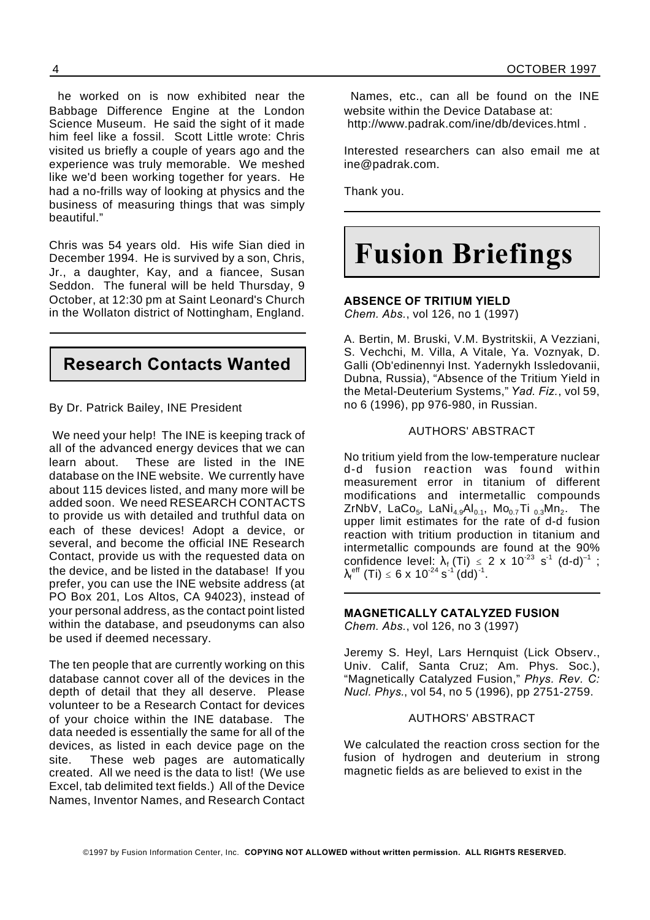he worked on is now exhibited near the Babbage Difference Engine at the London Science Museum. He said the sight of it made him feel like a fossil. Scott Little wrote: Chris visited us briefly a couple of years ago and the experience was truly memorable. We meshed like we'd been working together for years. He had a no-frills way of looking at physics and the business of measuring things that was simply beautiful."

Chris was 54 years old. His wife Sian died in December 1994. He is survived by a son, Chris, Jr., a daughter, Kay, and a fiancee, Susan Seddon. The funeral will be held Thursday, 9 October, at 12:30 pm at Saint Leonard's Church in the Wollaton district of Nottingham, England.

## **Research Contacts Wanted**

By Dr. Patrick Bailey, INE President

We need your help! The INE is keeping track of all of the advanced energy devices that we can learn about. These are listed in the INE database on the INE website. We currently have about 115 devices listed, and many more will be added soon. We need RESEARCH CONTACTS to provide us with detailed and truthful data on each of these devices! Adopt a device, or several, and become the official INE Research Contact, provide us with the requested data on the device, and be listed in the database! If you prefer, you can use the INE website address (at PO Box 201, Los Altos, CA 94023), instead of your personal address, as the contact point listed within the database, and pseudonyms can also be used if deemed necessary.

The ten people that are currently working on this database cannot cover all of the devices in the depth of detail that they all deserve. Please volunteer to be a Research Contact for devices of your choice within the INE database. The data needed is essentially the same for all of the devices, as listed in each device page on the site. These web pages are automatically created. All we need is the data to list! (We use Excel, tab delimited text fields.) All of the Device Names, Inventor Names, and Research Contact

Names, etc., can all be found on the INE website within the Device Database at: http://www.padrak.com/ine/db/devices.html .

Interested researchers can also email me at ine@padrak.com.

Thank you.

## **Fusion Briefings**

**ABSENCE OF TRITIUM YIELD**

*Chem. Abs.*, vol 126, no 1 (1997)

A. Bertin, M. Bruski, V.M. Bystritskii, A Vezziani, S. Vechchi, M. Villa, A Vitale, Ya. Voznyak, D. Galli (Ob'edinennyi Inst. Yadernykh Issledovanii, Dubna, Russia), "Absence of the Tritium Yield in the Metal-Deuterium Systems," *Yad. Fiz.*, vol 59, no 6 (1996), pp 976-980, in Russian.

## AUTHORS' ABSTRACT

No tritium yield from the low-temperature nuclear d-d fusion reaction was found within measurement error in titanium of different modifications and intermetallic compounds ZrNbV, LaCo $_5$ , LaNi $_{4.9}$ Al $_{0.1}$ , Mo $_{0.7}$ Ti  $_{0.3}$ Mn $_2$ . The upper limit estimates for the rate of d-d fusion reaction with tritium production in titanium and intermetallic compounds are found at the 90% confidence level:  $\lambda_f$  (Ti)  $\leq$  2 x 10<sup>-23</sup> s<sup>-1</sup> (d-d)<sup>-1</sup> ;  $\lambda_f^{\text{eff}}$  (Ti)  $\leq 6 \times 10^{-24} \text{ s}^{-1} (\text{dd})^{-1}$ .

## **MAGNETICALLY CATALYZED FUSION** *Chem. Abs.*, vol 126, no 3 (1997)

Jeremy S. Heyl, Lars Hernquist (Lick Observ., Univ. Calif, Santa Cruz; Am. Phys. Soc.), "Magnetically Catalyzed Fusion," *Phys. Rev. C: Nucl. Phys.*, vol 54, no 5 (1996), pp 2751-2759.

## AUTHORS' ABSTRACT

We calculated the reaction cross section for the fusion of hydrogen and deuterium in strong magnetic fields as are believed to exist in the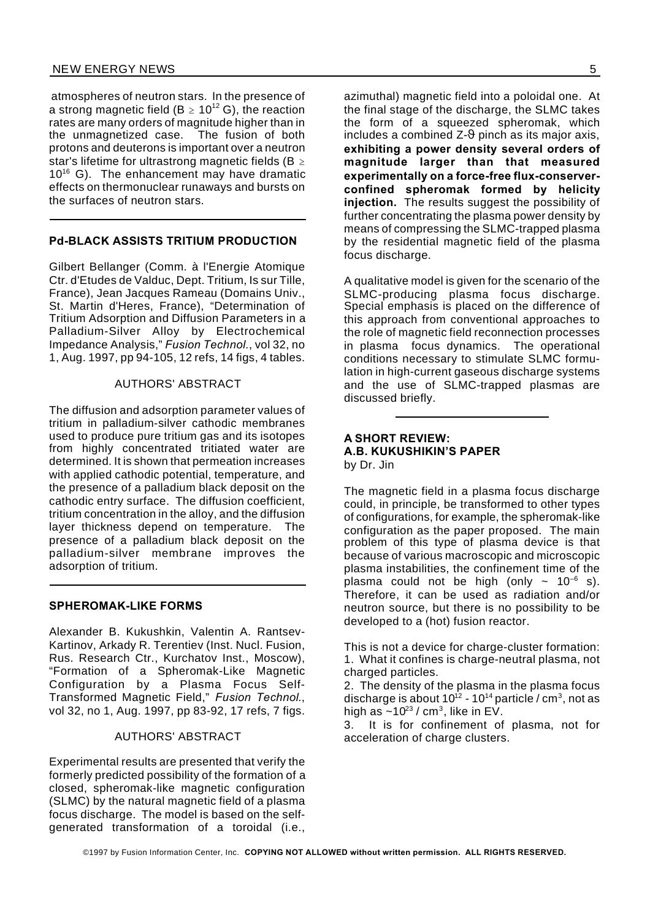atmospheres of neutron stars. In the presence of a strong magnetic field (B  $\geq 10^{12}$  G), the reaction rates are many orders of magnitude higher than in the unmagnetized case. The fusion of both protons and deuterons is important over a neutron star's lifetime for ultrastrong magnetic fields (B  $\geq$  $10^{16}$  G). The enhancement may have dramatic effects on thermonuclear runaways and bursts on the surfaces of neutron stars.

## **Pd-BLACK ASSISTS TRITIUM PRODUCTION**

Gilbert Bellanger (Comm. à l'Energie Atomique Ctr. d'Etudes de Valduc, Dept. Tritium, Is sur Tille, France), Jean Jacques Rameau (Domains Univ., St. Martin d'Heres, France), "Determination of Tritium Adsorption and Diffusion Parameters in a Palladium-Silver Alloy by Electrochemical Impedance Analysis," *Fusion Technol.*, vol 32, no 1, Aug. 1997, pp 94-105, 12 refs, 14 figs, 4 tables.

#### AUTHORS' ABSTRACT

The diffusion and adsorption parameter values of tritium in palladium-silver cathodic membranes used to produce pure tritium gas and its isotopes from highly concentrated tritiated water are determined. It is shown that permeation increases with applied cathodic potential, temperature, and the presence of a palladium black deposit on the cathodic entry surface. The diffusion coefficient, tritium concentration in the alloy, and the diffusion layer thickness depend on temperature. The presence of a palladium black deposit on the palladium-silver membrane improves the adsorption of tritium.

## **SPHEROMAK-LIKE FORMS**

Alexander B. Kukushkin, Valentin A. Rantsev-Kartinov, Arkady R. Terentiev (Inst. Nucl. Fusion, Rus. Research Ctr., Kurchatov Inst., Moscow), "Formation of a Spheromak-Like Magnetic Configuration by a Plasma Focus Self-Transformed Magnetic Field," *Fusion Technol*., vol 32, no 1, Aug. 1997, pp 83-92, 17 refs, 7 figs.

## AUTHORS' ABSTRACT

Experimental results are presented that verify the formerly predicted possibility of the formation of a closed, spheromak-like magnetic configuration (SLMC) by the natural magnetic field of a plasma focus discharge. The model is based on the selfgenerated transformation of a toroidal (i.e.,

azimuthal) magnetic field into a poloidal one. At the final stage of the discharge, the SLMC takes the form of a squeezed spheromak, which includes a combined  $Z-\theta$  pinch as its major axis, **exhibiting a power density several orders of magnitude larger than that measured experimentally on a force-free flux-conserverconfined spheromak formed by helicity injection.** The results suggest the possibility of further concentrating the plasma power density by means of compressing the SLMC-trapped plasma by the residential magnetic field of the plasma focus discharge.

A qualitative model is given for the scenario of the SLMC-producing plasma focus discharge. Special emphasis is placed on the difference of this approach from conventional approaches to the role of magnetic field reconnection processes in plasma focus dynamics. The operational conditions necessary to stimulate SLMC formulation in high-current gaseous discharge systems and the use of SLMC-trapped plasmas are discussed briefly.

### **A SHORT REVIEW: A.B. KUKUSHIKIN'S PAPER** by Dr. Jin

The magnetic field in a plasma focus discharge could, in principle, be transformed to other types of configurations, for example, the spheromak-like configuration as the paper proposed. The main problem of this type of plasma device is that because of various macroscopic and microscopic plasma instabilities, the confinement time of the plasma could not be high (only  $\sim 10^{-6}$  s). Therefore, it can be used as radiation and/or neutron source, but there is no possibility to be developed to a (hot) fusion reactor.

This is not a device for charge-cluster formation: 1. What it confines is charge-neutral plasma, not charged particles.

2. The density of the plasma in the plasma focus discharge is about 10 $^{\rm 12}$  - 10 $^{\rm 14}$  particle / cm $^{\rm 3}$ , not as high as ~10 $^{23}$  / cm $^3\!$ , like in EV.  $\,$ 

3. It is for confinement of plasma, not for acceleration of charge clusters.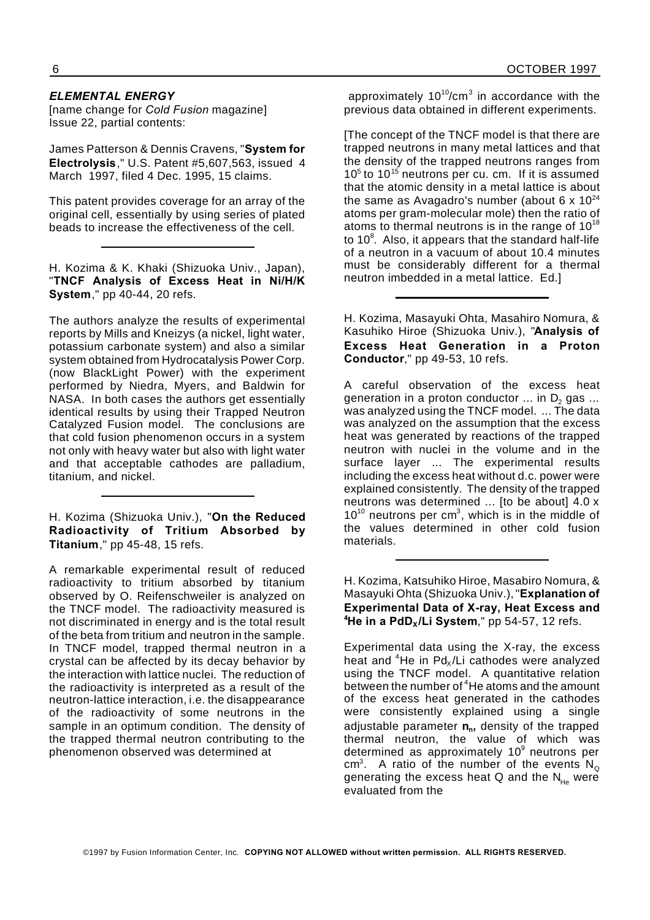## *ELEMENTAL ENERGY*

[name change for *Cold Fusion* magazine] Issue 22, partial contents:

James Patterson & Dennis Cravens, "**System for Electrolysis**," U.S. Patent #5,607,563, issued 4 March 1997, filed 4 Dec. 1995, 15 claims.

This patent provides coverage for an array of the original cell, essentially by using series of plated beads to increase the effectiveness of the cell.

H. Kozima & K. Khaki (Shizuoka Univ., Japan), "**TNCF Analysis of Excess Heat in Ni/H/K System**," pp 40-44, 20 refs.

The authors analyze the results of experimental reports by Mills and Kneizys (a nickel, light water, potassium carbonate system) and also a similar system obtained from Hydrocatalysis Power Corp. (now BlackLight Power) with the experiment performed by Niedra, Myers, and Baldwin for NASA. In both cases the authors get essentially identical results by using their Trapped Neutron Catalyzed Fusion model. The conclusions are that cold fusion phenomenon occurs in a system not only with heavy water but also with light water and that acceptable cathodes are palladium, titanium, and nickel.

H. Kozima (Shizuoka Univ.), "**On the Reduced Radioactivity of Tritium Absorbed by Titanium**," pp 45-48, 15 refs.

A remarkable experimental result of reduced radioactivity to tritium absorbed by titanium observed by O. Reifenschweiler is analyzed on the TNCF model. The radioactivity measured is not discriminated in energy and is the total result of the beta from tritium and neutron in the sample. In TNCF model, trapped thermal neutron in a crystal can be affected by its decay behavior by the interaction with lattice nuclei. The reduction of the radioactivity is interpreted as a result of the neutron-lattice interaction, i.e. the disappearance of the radioactivity of some neutrons in the sample in an optimum condition. The density of the trapped thermal neutron contributing to the phenomenon observed was determined at

approximately 10<sup>10</sup>/cm<sup>3</sup> in accordance with the previous data obtained in different experiments.

[The concept of the TNCF model is that there are trapped neutrons in many metal lattices and that the density of the trapped neutrons ranges from  $10<sup>5</sup>$  to  $10<sup>15</sup>$  neutrons per cu. cm. If it is assumed that the atomic density in a metal lattice is about the same as Avagadro's number (about 6 x  $10^{24}$ ) atoms per gram-molecular mole) then the ratio of atoms to thermal neutrons is in the range of  $10^{18}$ to 10 $8$ . Also, it appears that the standard half-life of a neutron in a vacuum of about 10.4 minutes must be considerably different for a thermal neutron imbedded in a metal lattice. Ed.]

H. Kozima, Masayuki Ohta, Masahiro Nomura, & Kasuhiko Hiroe (Shizuoka Univ.), "**Analysis of Excess Heat Generation in a Proton Conductor**," pp 49-53, 10 refs.

A careful observation of the excess heat generation in a proton conductor  $\ldots$  in  $D<sub>2</sub>$  gas  $\ldots$ was analyzed using the TNCF model. ... The data was analyzed on the assumption that the excess heat was generated by reactions of the trapped neutron with nuclei in the volume and in the surface layer ... The experimental results including the excess heat without d.c. power were explained consistently. The density of the trapped neutrons was determined ... [to be about] 4.0 x  $10^{10}$  neutrons per cm<sup>3</sup>, which is in the middle of the values determined in other cold fusion materials.

H. Kozima, Katsuhiko Hiroe, Masabiro Nomura, & Masayuki Ohta (Shizuoka Univ.),"**Explanation of Experimental Data of X-ray, Heat Excess and <sup>4</sup>He in a PdDX/Li System**," pp 54-57, 12 refs.

Experimental data using the X-ray, the excess heat and  ${}^{4}$ He in Pd<sub>x</sub>/Li cathodes were analyzed using the TNCF model. A quantitative relation between the number of <sup>4</sup>He atoms and the amount of the excess heat generated in the cathodes were consistently explained using a single adjustable parameter **n<sup>n</sup> ,** density of the trapped thermal neutron, the value of which was determined as approximately 10<sup>9</sup> neutrons per cm<sup>3</sup>. A ratio of the number of the events  $N_{\text{\tiny Q}}$ generating the excess heat Q and the  $N_{He}$  were evaluated from the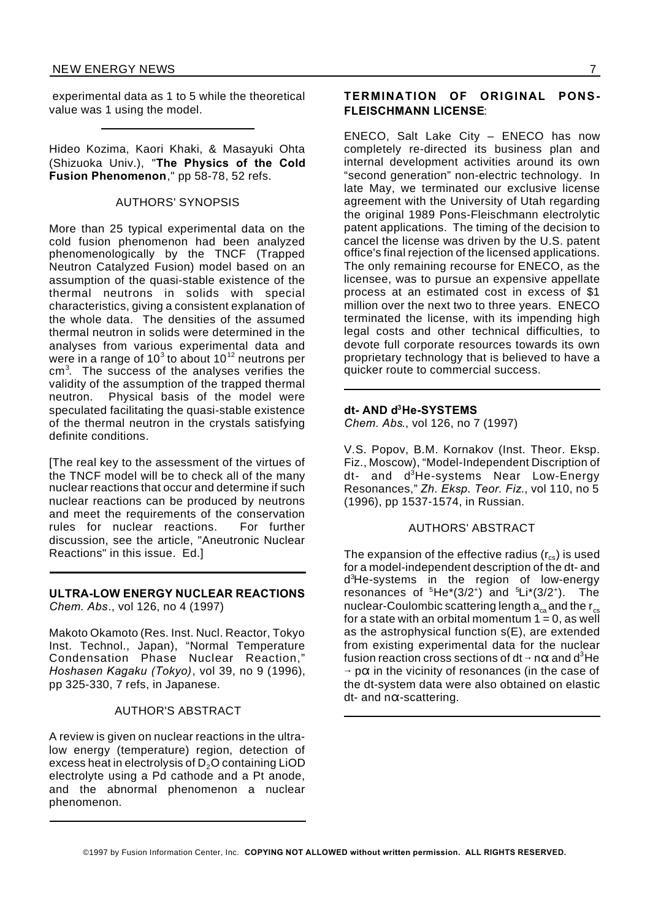experimental data as 1 to 5 while the theoretical value was 1 using the model.

Hideo Kozima, Kaori Khaki, & Masayuki Ohta (Shizuoka Univ.), "**The Physics of the Cold Fusion Phenomenon**," pp 58-78, 52 refs.

## AUTHORS' SYNOPSIS

More than 25 typical experimental data on the cold fusion phenomenon had been analyzed phenomenologically by the TNCF (Trapped Neutron Catalyzed Fusion) model based on an assumption of the quasi-stable existence of the thermal neutrons in solids with special characteristics, giving a consistent explanation of the whole data. The densities of the assumed thermal neutron in solids were determined in the analyses from various experimental data and were in a range of 10<sup>3</sup> to about 10<sup>12</sup> neutrons per cm<sup>3</sup> . The success of the analyses verifies the validity of the assumption of the trapped thermal neutron. Physical basis of the model were speculated facilitating the quasi-stable existence of the thermal neutron in the crystals satisfying definite conditions.

[The real key to the assessment of the virtues of the TNCF model will be to check all of the many nuclear reactions that occur and determine if such nuclear reactions can be produced by neutrons and meet the requirements of the conservation rules for nuclear reactions. For further discussion, see the article, "Aneutronic Nuclear Reactions" in this issue. Ed.]

### **ULTRA-LOW ENERGY NUCLEAR REACTIONS** *Chem. Abs*., vol 126, no 4 (1997)

Makoto Okamoto (Res. Inst. Nucl. Reactor, Tokyo Inst. Technol., Japan), "Normal Temperature Condensation Phase Nuclear Reaction," *Hoshasen Kagaku (Tokyo)*, vol 39, no 9 (1996), pp 325-330, 7 refs, in Japanese.

## AUTHOR'S ABSTRACT

A review is given on nuclear reactions in the ultralow energy (temperature) region, detection of excess heat in electrolysis of D<sub>2</sub>O containing LiOD electrolyte using a Pd cathode and a Pt anode, and the abnormal phenomenon a nuclear phenomenon.

## **TERMINATION OF ORIGINAL PONS-FLEISCHMANN LICENSE**:

ENECO, Salt Lake City – ENECO has now completely re-directed its business plan and internal development activities around its own "second generation" non-electric technology. In late May, we terminated our exclusive license agreement with the University of Utah regarding the original 1989 Pons-Fleischmann electrolytic patent applications. The timing of the decision to cancel the license was driven by the U.S. patent office's final rejection of the licensed applications. The only remaining recourse for ENECO, as the licensee, was to pursue an expensive appellate process at an estimated cost in excess of \$1 million over the next two to three years. ENECO terminated the license, with its impending high legal costs and other technical difficulties, to devote full corporate resources towards its own proprietary technology that is believed to have a quicker route to commercial success.

## **dt- AND d<sup>3</sup>He-SYSTEMS**

*Chem. Abs*., vol 126, no 7 (1997)

V.S. Popov, B.M. Kornakov (Inst. Theor. Eksp. Fiz., Moscow), "Model-Independent Discription of dt- and d <sup>3</sup>He-systems Near Low-Energy Resonances," *Zh. Eksp. Teor. Fiz*., vol 110, no 5 (1996), pp 1537-1574, in Russian.

#### AUTHORS' ABSTRACT

The expansion of the effective radius  $(r_{cs})$  is used for a model-independent description of the dt- and d <sup>3</sup>He-systems in the region of low-energy resonances of  ${}^5\textrm{He}^{\ast}(3/2^{\ast})$  and  ${}^5\textrm{Li}^{\ast}(3/2^{\ast})$ . The nuclear-Coulombic scattering length  $\mathsf{a}_{_{\mathrm{ca}}}$ and the r $_{\mathrm{cs}}$ for a state with an orbital momentum  $1 = 0$ , as well as the astrophysical function s(E), are extended from existing experimental data for the nuclear fusion reaction cross sections of dt  $\rightarrow$  n $\alpha$  and d $^3$ He  $\rightarrow$  p $\alpha$  in the vicinity of resonances (in the case of the dt-system data were also obtained on elastic  $dt$ - and n $\alpha$ -scattering.

<sup>©1997</sup> by Fusion Information Center, Inc. **COPYING NOT ALLOWED without written permission. ALL RIGHTS RESERVED.**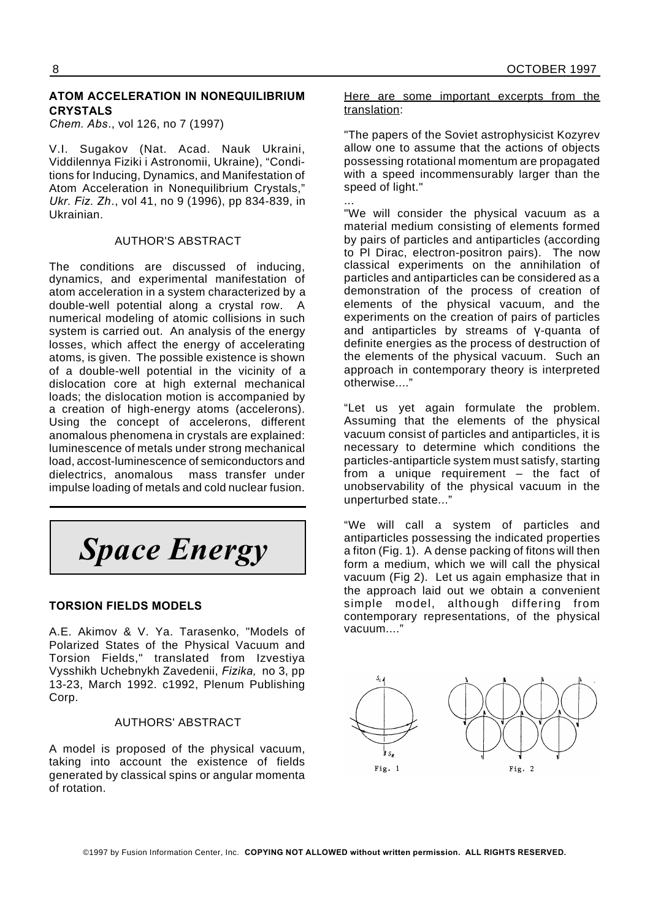## **ATOM ACCELERATION IN NONEQUILIBRIUM CRYSTALS**

*Chem. Abs*., vol 126, no 7 (1997)

V.I. Sugakov (Nat. Acad. Nauk Ukraini, Viddilennya Fiziki i Astronomii, Ukraine), "Conditions for Inducing, Dynamics, and Manifestation of Atom Acceleration in Nonequilibrium Crystals," *Ukr. Fiz. Zh*., vol 41, no 9 (1996), pp 834-839, in Ukrainian.

## AUTHOR'S ABSTRACT

The conditions are discussed of inducing, dynamics, and experimental manifestation of atom acceleration in a system characterized by a double-well potential along a crystal row. A numerical modeling of atomic collisions in such system is carried out. An analysis of the energy losses, which affect the energy of accelerating atoms, is given. The possible existence is shown of a double-well potential in the vicinity of a dislocation core at high external mechanical loads; the dislocation motion is accompanied by a creation of high-energy atoms (accelerons). Using the concept of accelerons, different anomalous phenomena in crystals are explained: luminescence of metals under strong mechanical load, accost-luminescence of semiconductors and dielectrics, anomalous mass transfer under impulse loading of metals and cold nuclear fusion.

*Space Energy*

## **TORSION FIELDS MODELS**

A.E. Akimov & V. Ya. Tarasenko, "Models of Polarized States of the Physical Vacuum and Torsion Fields," translated from Izvestiya Vysshikh Uchebnykh Zavedenii, *Fizika,* no 3, pp 13-23, March 1992. c1992, Plenum Publishing Corp.

## AUTHORS' ABSTRACT

A model is proposed of the physical vacuum, taking into account the existence of fields generated by classical spins or angular momenta of rotation.

Here are some important excerpts from the translation:

"The papers of the Soviet astrophysicist Kozyrev allow one to assume that the actions of objects possessing rotational momentum are propagated with a speed incommensurably larger than the speed of light."

... "We will consider the physical vacuum as a material medium consisting of elements formed by pairs of particles and antiparticles (according to Pl Dirac, electron-positron pairs). The now classical experiments on the annihilation of particles and antiparticles can be considered as a demonstration of the process of creation of elements of the physical vacuum, and the experiments on the creation of pairs of particles and antiparticles by streams of  $V$ -quanta of definite energies as the process of destruction of the elements of the physical vacuum. Such an approach in contemporary theory is interpreted otherwise...."

"Let us yet again formulate the problem. Assuming that the elements of the physical vacuum consist of particles and antiparticles, it is necessary to determine which conditions the particles-antiparticle system must satisfy, starting from a unique requirement – the fact of unobservability of the physical vacuum in the unperturbed state..."

"We will call a system of particles and antiparticles possessing the indicated properties a fiton (Fig. 1). A dense packing of fitons will then form a medium, which we will call the physical vacuum (Fig 2). Let us again emphasize that in the approach laid out we obtain a convenient simple model, although differing from contemporary representations, of the physical vacuum...."

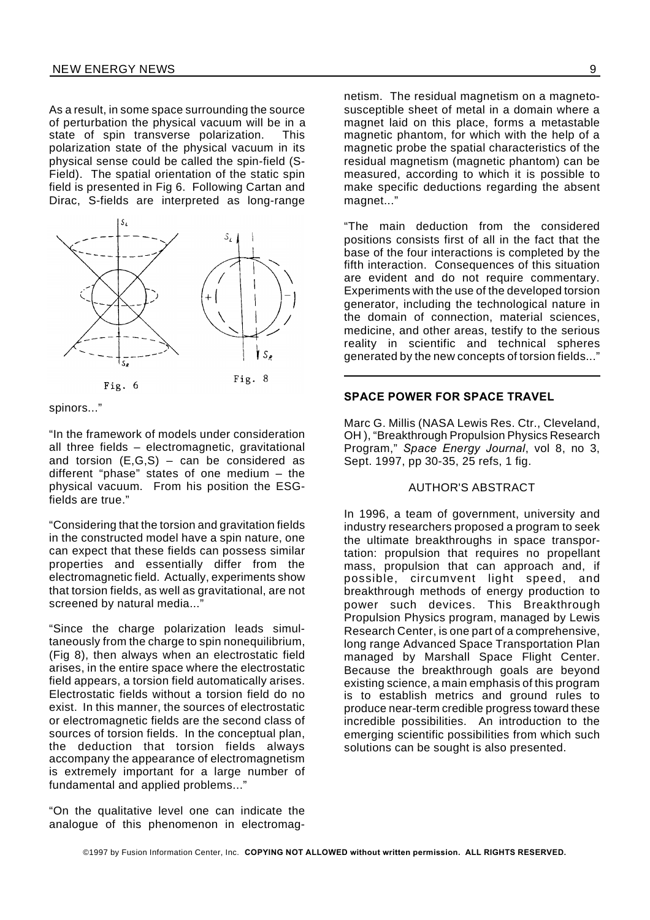As a result, in some space surrounding the source of perturbation the physical vacuum will be in a state of spin transverse polarization. This polarization state of the physical vacuum in its physical sense could be called the spin-field (S-Field). The spatial orientation of the static spin field is presented in Fig 6. Following Cartan and Dirac, S-fields are interpreted as long-range



spinors..."

"In the framework of models under consideration all three fields – electromagnetic, gravitational and torsion  $(E, G, S)$  – can be considered as different "phase" states of one medium – the physical vacuum. From his position the ESGfields are true."

"Considering that the torsion and gravitation fields in the constructed model have a spin nature, one can expect that these fields can possess similar properties and essentially differ from the electromagnetic field. Actually, experiments show that torsion fields, as well as gravitational, are not screened by natural media..."

"Since the charge polarization leads simultaneously from the charge to spin nonequilibrium, (Fig 8), then always when an electrostatic field arises, in the entire space where the electrostatic field appears, a torsion field automatically arises. Electrostatic fields without a torsion field do no exist. In this manner, the sources of electrostatic or electromagnetic fields are the second class of sources of torsion fields. In the conceptual plan, the deduction that torsion fields always accompany the appearance of electromagnetism is extremely important for a large number of fundamental and applied problems..."

"On the qualitative level one can indicate the analogue of this phenomenon in electromag-

netism. The residual magnetism on a magnetosusceptible sheet of metal in a domain where a magnet laid on this place, forms a metastable magnetic phantom, for which with the help of a magnetic probe the spatial characteristics of the residual magnetism (magnetic phantom) can be measured, according to which it is possible to make specific deductions regarding the absent magnet..."

"The main deduction from the considered positions consists first of all in the fact that the base of the four interactions is completed by the fifth interaction. Consequences of this situation are evident and do not require commentary. Experiments with the use of the developed torsion generator, including the technological nature in the domain of connection, material sciences, medicine, and other areas, testify to the serious reality in scientific and technical spheres generated by the new concepts of torsion fields..."

### **SPACE POWER FOR SPACE TRAVEL**

Marc G. Millis (NASA Lewis Res. Ctr., Cleveland, OH ), "Breakthrough Propulsion Physics Research Program," *Space Energy Journal*, vol 8, no 3, Sept. 1997, pp 30-35, 25 refs, 1 fig.

### AUTHOR'S ABSTRACT

In 1996, a team of government, university and industry researchers proposed a program to seek the ultimate breakthroughs in space transportation: propulsion that requires no propellant mass, propulsion that can approach and, if possible, circumvent light speed, and breakthrough methods of energy production to power such devices. This Breakthrough Propulsion Physics program, managed by Lewis Research Center, is one part of a comprehensive, long range Advanced Space Transportation Plan managed by Marshall Space Flight Center. Because the breakthrough goals are beyond existing science, a main emphasis of this program is to establish metrics and ground rules to produce near-term credible progress toward these incredible possibilities. An introduction to the emerging scientific possibilities from which such solutions can be sought is also presented.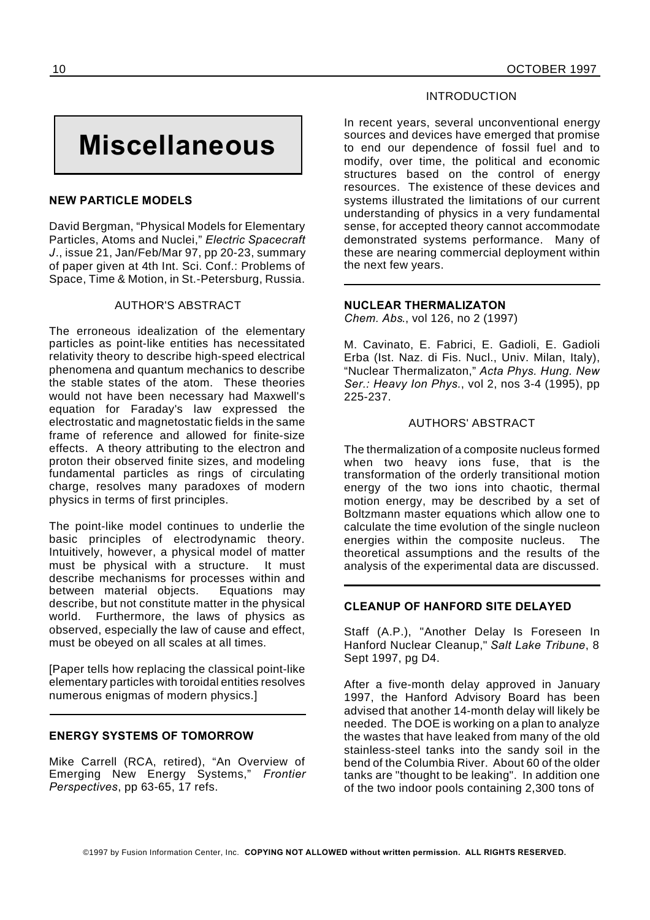## **Miscellaneous**

## **NEW PARTICLE MODELS**

David Bergman, "Physical Models for Elementary Particles, Atoms and Nuclei," *Electric Spacecraft J*., issue 21, Jan/Feb/Mar 97, pp 20-23, summary of paper given at 4th Int. Sci. Conf.: Problems of Space, Time & Motion, in St.-Petersburg, Russia.

## AUTHOR'S ABSTRACT

The erroneous idealization of the elementary particles as point-like entities has necessitated relativity theory to describe high-speed electrical phenomena and quantum mechanics to describe the stable states of the atom. These theories would not have been necessary had Maxwell's equation for Faraday's law expressed the electrostatic and magnetostatic fields in the same frame of reference and allowed for finite-size effects. A theory attributing to the electron and proton their observed finite sizes, and modeling fundamental particles as rings of circulating charge, resolves many paradoxes of modern physics in terms of first principles.

The point-like model continues to underlie the basic principles of electrodynamic theory. Intuitively, however, a physical model of matter must be physical with a structure. It must describe mechanisms for processes within and between material objects. Equations may describe, but not constitute matter in the physical world. Furthermore, the laws of physics as observed, especially the law of cause and effect, must be obeyed on all scales at all times.

[Paper tells how replacing the classical point-like elementary particles with toroidal entities resolves numerous enigmas of modern physics.]

## **ENERGY SYSTEMS OF TOMORROW**

Mike Carrell (RCA, retired), "An Overview of Emerging New Energy Systems," *Frontier Perspectives*, pp 63-65, 17 refs.

## INTRODUCTION

In recent years, several unconventional energy sources and devices have emerged that promise to end our dependence of fossil fuel and to modify, over time, the political and economic structures based on the control of energy resources. The existence of these devices and systems illustrated the limitations of our current understanding of physics in a very fundamental sense, for accepted theory cannot accommodate demonstrated systems performance. Many of these are nearing commercial deployment within the next few years.

## **NUCLEAR THERMALIZATON**

*Chem. Abs*., vol 126, no 2 (1997)

M. Cavinato, E. Fabrici, E. Gadioli, E. Gadioli Erba (Ist. Naz. di Fis. Nucl., Univ. Milan, Italy), "Nuclear Thermalizaton," *Acta Phys. Hung. New Ser.: Heavy Ion Phys.*, vol 2, nos 3-4 (1995), pp 225-237.

## AUTHORS' ABSTRACT

The thermalization of a composite nucleus formed when two heavy ions fuse, that is the transformation of the orderly transitional motion energy of the two ions into chaotic, thermal motion energy, may be described by a set of Boltzmann master equations which allow one to calculate the time evolution of the single nucleon energies within the composite nucleus. The theoretical assumptions and the results of the analysis of the experimental data are discussed.

## **CLEANUP OF HANFORD SITE DELAYED**

Staff (A.P.), "Another Delay Is Foreseen In Hanford Nuclear Cleanup," *Salt Lake Tribune*, 8 Sept 1997, pg D4.

After a five-month delay approved in January 1997, the Hanford Advisory Board has been advised that another 14-month delay will likely be needed. The DOE is working on a plan to analyze the wastes that have leaked from many of the old stainless-steel tanks into the sandy soil in the bend of the Columbia River. About 60 of the older tanks are "thought to be leaking". In addition one of the two indoor pools containing 2,300 tons of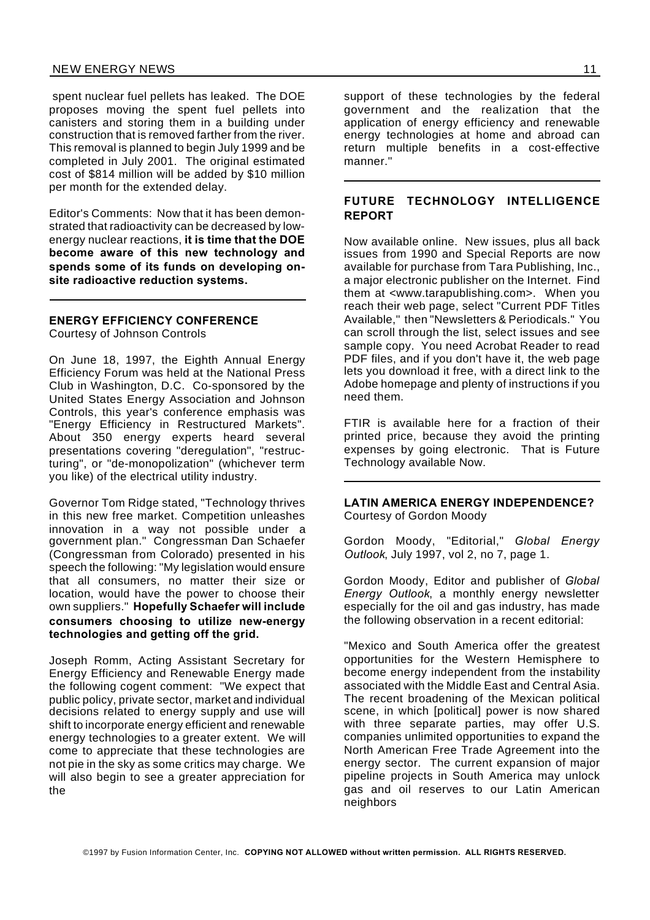spent nuclear fuel pellets has leaked. The DOE proposes moving the spent fuel pellets into canisters and storing them in a building under construction that is removed farther from the river. This removal is planned to begin July 1999 and be completed in July 2001. The original estimated cost of \$814 million will be added by \$10 million per month for the extended delay.

Editor's Comments: Now that it has been demonstrated that radioactivity can be decreased by lowenergy nuclear reactions, **it is time that the DOE become aware of this new technology and spends some of its funds on developing onsite radioactive reduction systems.**

## **ENERGY EFFICIENCY CONFERENCE**

Courtesy of Johnson Controls

On June 18, 1997, the Eighth Annual Energy Efficiency Forum was held at the National Press Club in Washington, D.C. Co-sponsored by the United States Energy Association and Johnson Controls, this year's conference emphasis was "Energy Efficiency in Restructured Markets". About 350 energy experts heard several presentations covering "deregulation", "restructuring", or "de-monopolization" (whichever term you like) of the electrical utility industry.

Governor Tom Ridge stated, "Technology thrives in this new free market. Competition unleashes innovation in a way not possible under a government plan." Congressman Dan Schaefer (Congressman from Colorado) presented in his speech the following: "My legislation would ensure that all consumers, no matter their size or location, would have the power to choose their own suppliers." **Hopefully Schaefer will include consumers choosing to utilize new-energy technologies and getting off the grid.**

Joseph Romm, Acting Assistant Secretary for Energy Efficiency and Renewable Energy made the following cogent comment: "We expect that public policy, private sector, market and individual decisions related to energy supply and use will shift to incorporate energy efficient and renewable energy technologies to a greater extent. We will come to appreciate that these technologies are not pie in the sky as some critics may charge. We will also begin to see a greater appreciation for the

support of these technologies by the federal government and the realization that the application of energy efficiency and renewable energy technologies at home and abroad can return multiple benefits in a cost-effective manner."

## **FUTURE TECHNOLOGY INTELLIGENCE REPORT**

Now available online. New issues, plus all back issues from 1990 and Special Reports are now available for purchase from Tara Publishing, Inc., a major electronic publisher on the Internet. Find them at <www.tarapublishing.com>. When you reach their web page, select "Current PDF Titles Available," then "Newsletters & Periodicals." You can scroll through the list, select issues and see sample copy. You need Acrobat Reader to read PDF files, and if you don't have it, the web page lets you download it free, with a direct link to the Adobe homepage and plenty of instructions if you need them.

FTIR is available here for a fraction of their printed price, because they avoid the printing expenses by going electronic. That is Future Technology available Now.

## **LATIN AMERICA ENERGY INDEPENDENCE?** Courtesy of Gordon Moody

Gordon Moody, "Editorial," *Global Energy Outlook*, July 1997, vol 2, no 7, page 1.

Gordon Moody, Editor and publisher of *Global Energy Outlook*, a monthly energy newsletter especially for the oil and gas industry, has made the following observation in a recent editorial:

"Mexico and South America offer the greatest opportunities for the Western Hemisphere to become energy independent from the instability associated with the Middle East and Central Asia. The recent broadening of the Mexican political scene, in which [political] power is now shared with three separate parties, may offer U.S. companies unlimited opportunities to expand the North American Free Trade Agreement into the energy sector. The current expansion of major pipeline projects in South America may unlock gas and oil reserves to our Latin American neighbors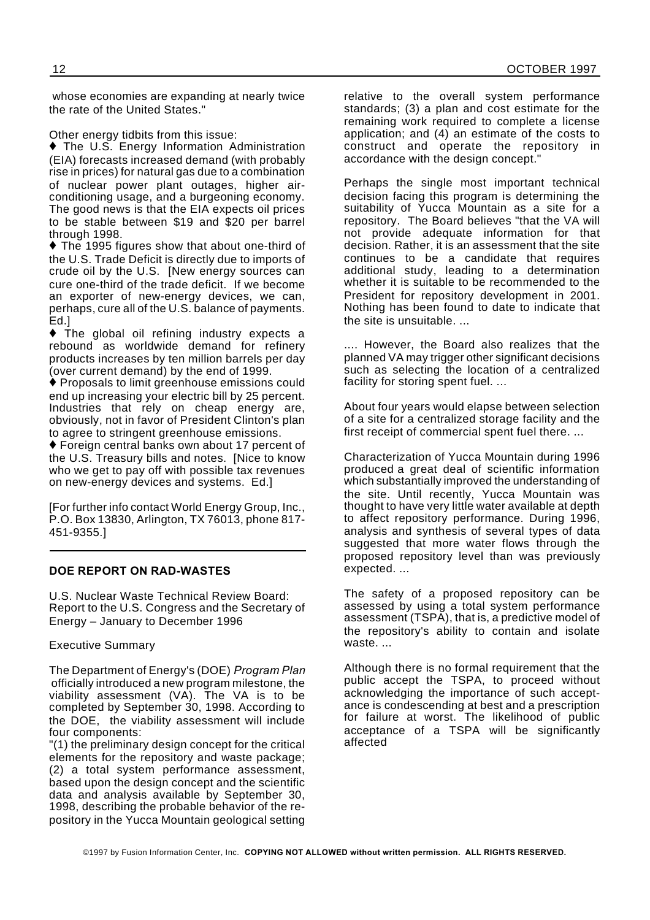whose economies are expanding at nearly twice the rate of the United States."

Other energy tidbits from this issue:

◆ The U.S. Energy Information Administration (EIA) forecasts increased demand (with probably rise in prices) for natural gas due to a combination of nuclear power plant outages, higher airconditioning usage, and a burgeoning economy. The good news is that the EIA expects oil prices to be stable between \$19 and \$20 per barrel through 1998.

◆ The 1995 figures show that about one-third of the U.S. Trade Deficit is directly due to imports of crude oil by the U.S. [New energy sources can cure one-third of the trade deficit. If we become an exporter of new-energy devices, we can, perhaps, cure all of the U.S. balance of payments. Ed.]

 The global oil refining industry expects a rebound as worldwide demand for refinery products increases by ten million barrels per day (over current demand) by the end of 1999.

Proposals to limit greenhouse emissions could end up increasing your electric bill by 25 percent. Industries that rely on cheap energy are, obviously, not in favor of President Clinton's plan to agree to stringent greenhouse emissions.

Foreign central banks own about 17 percent of the U.S. Treasury bills and notes. [Nice to know who we get to pay off with possible tax revenues on new-energy devices and systems. Ed.]

[For further info contact World Energy Group, Inc., P.O. Box 13830, Arlington, TX 76013, phone 817- 451-9355.]

## **DOE REPORT ON RAD-WASTES**

U.S. Nuclear Waste Technical Review Board: Report to the U.S. Congress and the Secretary of Energy – January to December 1996

Executive Summary

The Department of Energy's (DOE) *Program Plan* officially introduced a new program milestone, the viability assessment (VA). The VA is to be completed by September 30, 1998. According to the DOE, the viability assessment will include four components:

"(1) the preliminary design concept for the critical elements for the repository and waste package; (2) a total system performance assessment, based upon the design concept and the scientific data and analysis available by September 30, 1998, describing the probable behavior of the repository in the Yucca Mountain geological setting

relative to the overall system performance standards; (3) a plan and cost estimate for the remaining work required to complete a license application; and (4) an estimate of the costs to construct and operate the repository in accordance with the design concept."

Perhaps the single most important technical decision facing this program is determining the suitability of Yucca Mountain as a site for a repository. The Board believes "that the VA will not provide adequate information for that decision. Rather, it is an assessment that the site continues to be a candidate that requires additional study, leading to a determination whether it is suitable to be recommended to the President for repository development in 2001. Nothing has been found to date to indicate that the site is unsuitable. ...

.... However, the Board also realizes that the planned VA may trigger other significant decisions such as selecting the location of a centralized facility for storing spent fuel. ...

About four years would elapse between selection of a site for a centralized storage facility and the first receipt of commercial spent fuel there. ...

Characterization of Yucca Mountain during 1996 produced a great deal of scientific information which substantially improved the understanding of the site. Until recently, Yucca Mountain was thought to have very little water available at depth to affect repository performance. During 1996, analysis and synthesis of several types of data suggested that more water flows through the proposed repository level than was previously expected. ...

The safety of a proposed repository can be assessed by using a total system performance assessment (TSPA), that is, a predictive model of the repository's ability to contain and isolate waste. ...

Although there is no formal requirement that the public accept the TSPA, to proceed without acknowledging the importance of such acceptance is condescending at best and a prescription for failure at worst. The likelihood of public acceptance of a TSPA will be significantly affected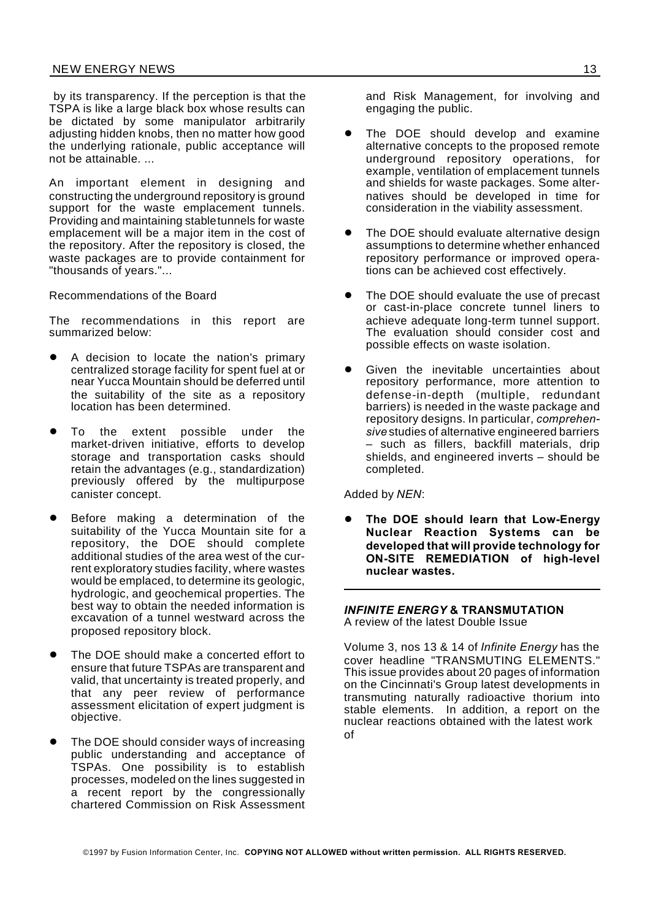by its transparency. If the perception is that the TSPA is like a large black box whose results can be dictated by some manipulator arbitrarily adjusting hidden knobs, then no matter how good the underlying rationale, public acceptance will not be attainable. ...

An important element in designing and constructing the underground repository is ground support for the waste emplacement tunnels. Providing and maintaining stabletunnels for waste emplacement will be a major item in the cost of the repository. After the repository is closed, the waste packages are to provide containment for "thousands of years."...

Recommendations of the Board

The recommendations in this report are summarized below:

- A decision to locate the nation's primary centralized storage facility for spent fuel at or near Yucca Mountain should be deferred until the suitability of the site as a repository location has been determined.
- To the extent possible under the market-driven initiative, efforts to develop storage and transportation casks should retain the advantages (e.g., standardization) previously offered by the multipurpose canister concept.
- Before making a determination of the suitability of the Yucca Mountain site for a repository, the DOE should complete additional studies of the area west of the current exploratory studies facility, where wastes would be emplaced, to determine its geologic, hydrologic, and geochemical properties. The best way to obtain the needed information is excavation of a tunnel westward across the proposed repository block.
- The DOE should make a concerted effort to ensure that future TSPAs are transparent and valid, that uncertainty is treated properly, and that any peer review of performance assessment elicitation of expert judgment is objective.
- The DOE should consider ways of increasing public understanding and acceptance of TSPAs. One possibility is to establish processes, modeled on the lines suggested in a recent report by the congressionally chartered Commission on Risk Assessment

and Risk Management, for involving and engaging the public.

- The DOE should develop and examine alternative concepts to the proposed remote underground repository operations, for example, ventilation of emplacement tunnels and shields for waste packages. Some alternatives should be developed in time for consideration in the viability assessment.
- The DOE should evaluate alternative design assumptions to determine whether enhanced repository performance or improved operations can be achieved cost effectively.
- The DOE should evaluate the use of precast or cast-in-place concrete tunnel liners to achieve adequate long-term tunnel support. The evaluation should consider cost and possible effects on waste isolation.
- Given the inevitable uncertainties about repository performance, more attention to defense-in-depth (multiple, redundant barriers) is needed in the waste package and repository designs. In particular, *comprehensive* studies of alternative engineered barriers – such as fillers, backfill materials, drip shields, and engineered inverts – should be completed.

## Added by *NEN*:

The DOE should learn that Low-Energy **Nuclear Reaction Systems can be developed that will provide technology for ON-SITE REMEDIATION of high-level nuclear wastes.**

#### *INFINITE ENERGY* **& TRANSMUTATION** A review of the latest Double Issue

Volume 3, nos 13 & 14 of *Infinite Energy* has the cover headline "TRANSMUTING ELEMENTS." This issue provides about 20 pages of information on the Cincinnati's Group latest developments in transmuting naturally radioactive thorium into stable elements. In addition, a report on the nuclear reactions obtained with the latest work of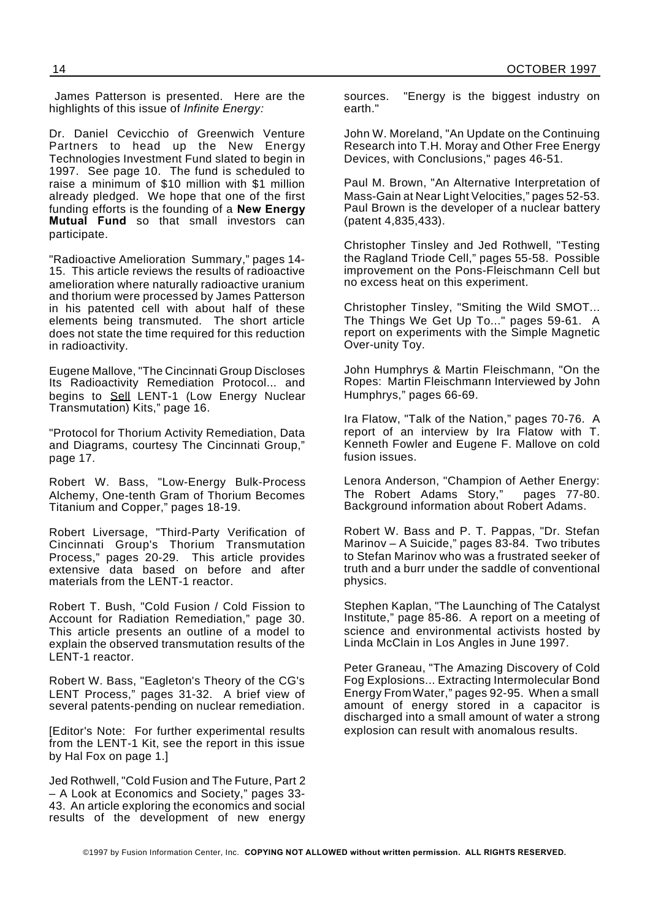James Patterson is presented. Here are the highlights of this issue of *Infinite Energy:*

Dr. Daniel Cevicchio of Greenwich Venture Partners to head up the New Energy Technologies Investment Fund slated to begin in 1997. See page 10. The fund is scheduled to raise a minimum of \$10 million with \$1 million already pledged. We hope that one of the first funding efforts is the founding of a **New Energy Mutual Fund** so that small investors can participate.

"Radioactive Amelioration Summary," pages 14- 15. This article reviews the results of radioactive amelioration where naturally radioactive uranium and thorium were processed by James Patterson in his patented cell with about half of these elements being transmuted. The short article does not state the time required for this reduction in radioactivity.

Eugene Mallove, "The Cincinnati Group Discloses Its Radioactivity Remediation Protocol... and begins to Sell LENT-1 (Low Energy Nuclear Transmutation) Kits," page 16.

"Protocol for Thorium Activity Remediation, Data and Diagrams, courtesy The Cincinnati Group," page 17.

Robert W. Bass, "Low-Energy Bulk-Process Alchemy, One-tenth Gram of Thorium Becomes Titanium and Copper," pages 18-19.

Robert Liversage, "Third-Party Verification of Cincinnati Group's Thorium Transmutation Process," pages 20-29. This article provides extensive data based on before and after materials from the LENT-1 reactor.

Robert T. Bush, "Cold Fusion / Cold Fission to Account for Radiation Remediation," page 30. This article presents an outline of a model to explain the observed transmutation results of the LENT-1 reactor.

Robert W. Bass, "Eagleton's Theory of the CG's LENT Process," pages 31-32. A brief view of several patents-pending on nuclear remediation.

[Editor's Note: For further experimental results from the LENT-1 Kit, see the report in this issue by Hal Fox on page 1.]

Jed Rothwell, "Cold Fusion and The Future, Part 2 – A Look at Economics and Society," pages 33- 43. An article exploring the economics and social results of the development of new energy sources. "Energy is the biggest industry on earth."

John W. Moreland, "An Update on the Continuing Research into T.H. Moray and Other Free Energy Devices, with Conclusions," pages 46-51.

Paul M. Brown, "An Alternative Interpretation of Mass-Gain at Near Light Velocities," pages 52-53. Paul Brown is the developer of a nuclear battery (patent 4,835,433).

Christopher Tinsley and Jed Rothwell, "Testing the Ragland Triode Cell," pages 55-58. Possible improvement on the Pons-Fleischmann Cell but no excess heat on this experiment.

Christopher Tinsley, "Smiting the Wild SMOT... The Things We Get Up To..." pages 59-61. A report on experiments with the Simple Magnetic Over-unity Toy.

John Humphrys & Martin Fleischmann, "On the Ropes: Martin Fleischmann Interviewed by John Humphrys," pages 66-69.

Ira Flatow, "Talk of the Nation," pages 70-76. A report of an interview by Ira Flatow with T. Kenneth Fowler and Eugene F. Mallove on cold fusion issues.

Lenora Anderson, "Champion of Aether Energy: The Robert Adams Story," pages 77-80. Background information about Robert Adams.

Robert W. Bass and P. T. Pappas, "Dr. Stefan Marinov – A Suicide," pages 83-84. Two tributes to Stefan Marinov who was a frustrated seeker of truth and a burr under the saddle of conventional physics.

Stephen Kaplan, "The Launching of The Catalyst Institute," page 85-86. A report on a meeting of science and environmental activists hosted by Linda McClain in Los Angles in June 1997.

Peter Graneau, "The Amazing Discovery of Cold Fog Explosions... Extracting Intermolecular Bond Energy FromWater," pages 92-95. When a small amount of energy stored in a capacitor is discharged into a small amount of water a strong explosion can result with anomalous results.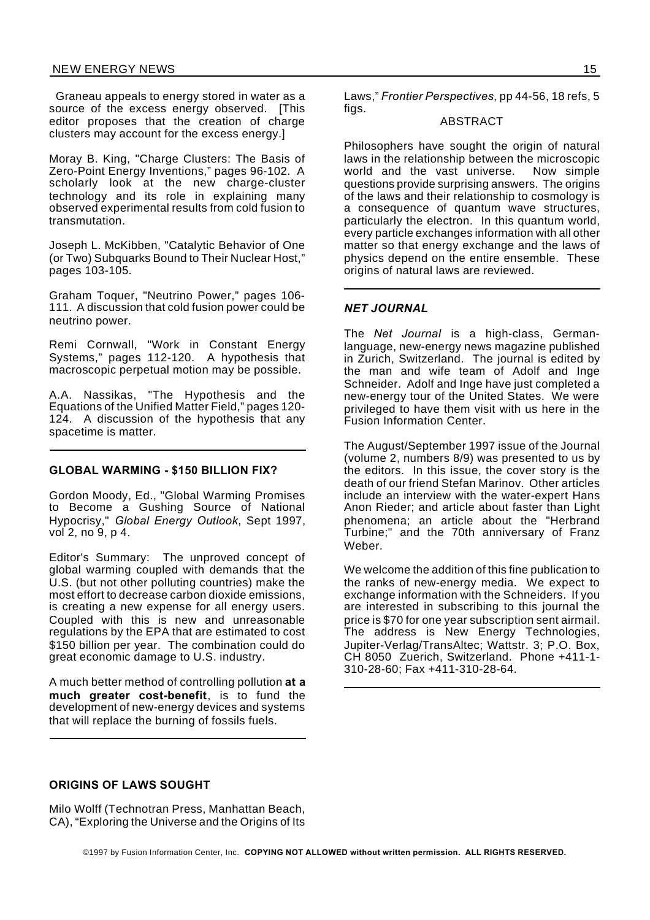Graneau appeals to energy stored in water as a source of the excess energy observed. [This editor proposes that the creation of charge clusters may account for the excess energy.]

Moray B. King, "Charge Clusters: The Basis of Zero-Point Energy Inventions," pages 96-102. A scholarly look at the new charge-cluster technology and its role in explaining many observed experimental results from cold fusion to transmutation.

Joseph L. McKibben, "Catalytic Behavior of One (or Two) Subquarks Bound to Their Nuclear Host," pages 103-105.

Graham Toquer, "Neutrino Power," pages 106- 111. A discussion that cold fusion power could be neutrino power.

Remi Cornwall, "Work in Constant Energy Systems," pages 112-120. A hypothesis that macroscopic perpetual motion may be possible.

A.A. Nassikas, "The Hypothesis and the Equations of the Unified Matter Field," pages 120- 124. A discussion of the hypothesis that any spacetime is matter.

#### **GLOBAL WARMING - \$150 BILLION FIX?**

Gordon Moody, Ed., "Global Warming Promises to Become a Gushing Source of National Hypocrisy," *Global Energy Outlook*, Sept 1997, vol 2, no 9, p 4.

Editor's Summary: The unproved concept of global warming coupled with demands that the U.S. (but not other polluting countries) make the most effort to decrease carbon dioxide emissions, is creating a new expense for all energy users. Coupled with this is new and unreasonable regulations by the EPA that are estimated to cost \$150 billion per year. The combination could do great economic damage to U.S. industry.

A much better method of controlling pollution **at a much greater cost-benefit**, is to fund the development of new-energy devices and systems that will replace the burning of fossils fuels.

Laws," *Frontier Perspectives*, pp 44-56, 18 refs, 5 fias.

## ABSTRACT

Philosophers have sought the origin of natural laws in the relationship between the microscopic world and the vast universe. Now simple questions provide surprising answers. The origins of the laws and their relationship to cosmology is a consequence of quantum wave structures, particularly the electron. In this quantum world, every particle exchanges information with all other matter so that energy exchange and the laws of physics depend on the entire ensemble. These origins of natural laws are reviewed.

## *NET JOURNAL*

The *Net Journal* is a high-class, Germanlanguage, new-energy news magazine published in Zurich, Switzerland. The journal is edited by the man and wife team of Adolf and Inge Schneider. Adolf and Inge have just completed a new-energy tour of the United States. We were privileged to have them visit with us here in the Fusion Information Center.

The August/September 1997 issue of the Journal (volume 2, numbers 8/9) was presented to us by the editors. In this issue, the cover story is the death of our friend Stefan Marinov. Other articles include an interview with the water-expert Hans Anon Rieder; and article about faster than Light phenomena; an article about the "Herbrand Turbine;" and the 70th anniversary of Franz Weber.

We welcome the addition of this fine publication to the ranks of new-energy media. We expect to exchange information with the Schneiders. If you are interested in subscribing to this journal the price is \$70 for one year subscription sent airmail. The address is New Energy Technologies, Jupiter-Verlag/TransAltec; Wattstr. 3; P.O. Box, CH 8050 Zuerich, Switzerland. Phone +411-1- 310-28-60; Fax +411-310-28-64.

## **ORIGINS OF LAWS SOUGHT**

Milo Wolff (Technotran Press, Manhattan Beach, CA), "Exploring the Universe and the Origins of Its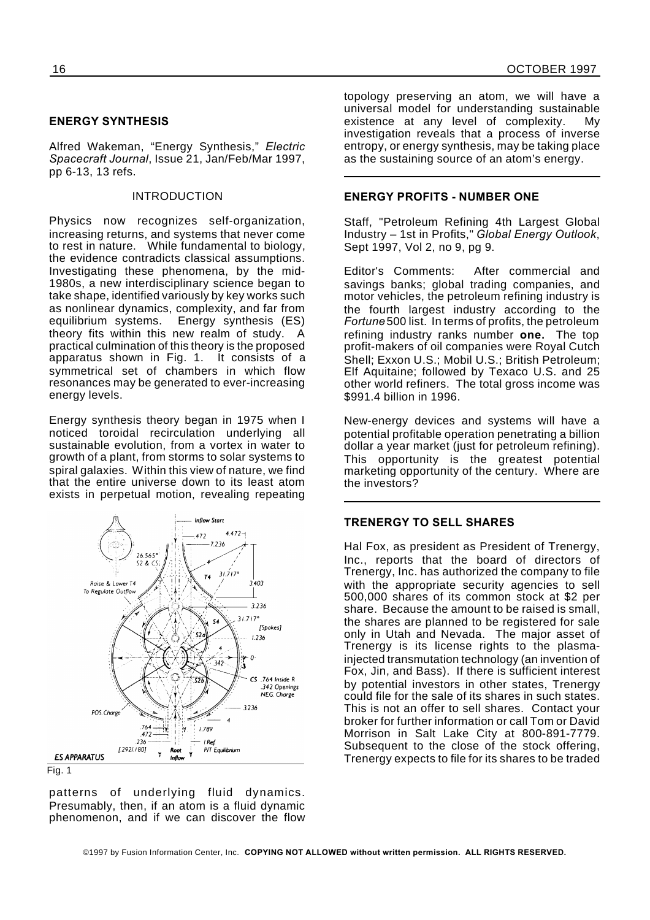## **ENERGY SYNTHESIS**

Alfred Wakeman, "Energy Synthesis," *Electric Spacecraft Journal*, Issue 21, Jan/Feb/Mar 1997, pp 6-13, 13 refs.

### INTRODUCTION

Physics now recognizes self-organization, increasing returns, and systems that never come to rest in nature. While fundamental to biology, the evidence contradicts classical assumptions. Investigating these phenomena, by the mid-1980s, a new interdisciplinary science began to take shape, identified variously by key works such as nonlinear dynamics, complexity, and far from Energy synthesis (ES) theory fits within this new realm of study. A practical culmination of this theory is the proposed apparatus shown in Fig. 1. It consists of a symmetrical set of chambers in which flow resonances may be generated to ever-increasing energy levels.

Energy synthesis theory began in 1975 when I noticed toroidal recirculation underlying all sustainable evolution, from a vortex in water to growth of a plant, from storms to solar systems to spiral galaxies. Within this view of nature, we find that the entire universe down to its least atom exists in perpetual motion, revealing repeating



Fig. 1

patterns of underlying fluid dynamics. Presumably, then, if an atom is a fluid dynamic phenomenon, and if we can discover the flow topology preserving an atom, we will have a universal model for understanding sustainable existence at any level of complexity. My investigation reveals that a process of inverse entropy, or energy synthesis, may be taking place as the sustaining source of an atom's energy.

## **ENERGY PROFITS - NUMBER ONE**

Staff, "Petroleum Refining 4th Largest Global Industry – 1st in Profits," *Global Energy Outlook*, Sept 1997, Vol 2, no 9, pg 9.

Editor's Comments: After commercial and savings banks; global trading companies, and motor vehicles, the petroleum refining industry is the fourth largest industry according to the *Fortune* 500 list. In terms of profits, the petroleum refining industry ranks number **one.** The top profit-makers of oil companies were Royal Cutch Shell; Exxon U.S.; Mobil U.S.; British Petroleum; Elf Aquitaine; followed by Texaco U.S. and 25 other world refiners. The total gross income was \$991.4 billion in 1996.

New-energy devices and systems will have a potential profitable operation penetrating a billion dollar a year market (just for petroleum refining). This opportunity is the greatest potential marketing opportunity of the century. Where are the investors?

## **TRENERGY TO SELL SHARES**

Hal Fox, as president as President of Trenergy, Inc., reports that the board of directors of Trenergy, Inc. has authorized the company to file with the appropriate security agencies to sell 500,000 shares of its common stock at \$2 per share. Because the amount to be raised is small, the shares are planned to be registered for sale only in Utah and Nevada. The major asset of Trenergy is its license rights to the plasmainjected transmutation technology (an invention of Fox, Jin, and Bass). If there is sufficient interest by potential investors in other states, Trenergy could file for the sale of its shares in such states. This is not an offer to sell shares. Contact your broker for further information or call Tom or David Morrison in Salt Lake City at 800-891-7779. Subsequent to the close of the stock offering, Trenergy expects to file for its shares to be traded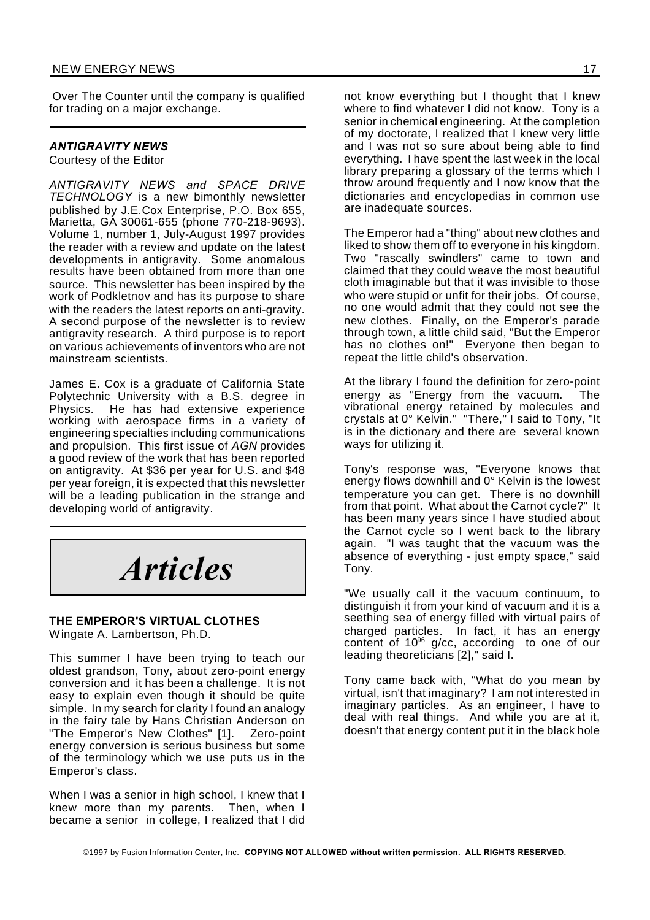Over The Counter until the company is qualified for trading on a major exchange.

## *ANTIGRAVITY NEWS*

Courtesy of the Editor

*ANTIGRAVITY NEWS and SPACE DRIVE TECHNOLOGY* is a new bimonthly newsletter published by J.E.Cox Enterprise, P.O. Box 655, Marietta, GA 30061-655 (phone 770-218-9693). Volume 1, number 1, July-August 1997 provides the reader with a review and update on the latest developments in antigravity. Some anomalous results have been obtained from more than one source. This newsletter has been inspired by the work of Podkletnov and has its purpose to share with the readers the latest reports on anti-gravity. A second purpose of the newsletter is to review antigravity research. A third purpose is to report on various achievements of inventors who are not mainstream scientists.

James E. Cox is a graduate of California State Polytechnic University with a B.S. degree in Physics. He has had extensive experience working with aerospace firms in a variety of engineering specialties including communications and propulsion. This first issue of *AGN* provides a good review of the work that has been reported on antigravity. At \$36 per year for U.S. and \$48 per year foreign, it is expected that this newsletter will be a leading publication in the strange and developing world of antigravity.

*Articles*

## **THE EMPEROR'S VIRTUAL CLOTHES** Wingate A. Lambertson, Ph.D.

This summer I have been trying to teach our oldest grandson, Tony, about zero-point energy conversion and it has been a challenge. It is not easy to explain even though it should be quite simple. In my search for clarity I found an analogy in the fairy tale by Hans Christian Anderson on "The Emperor's New Clothes" [1]. Zero-point energy conversion is serious business but some of the terminology which we use puts us in the Emperor's class.

When I was a senior in high school, I knew that I knew more than my parents. Then, when I became a senior in college, I realized that I did

not know everything but I thought that I knew where to find whatever I did not know. Tony is a senior in chemical engineering. At the completion of my doctorate, I realized that I knew very little and I was not so sure about being able to find everything. I have spent the last week in the local library preparing a glossary of the terms which I throw around frequently and I now know that the dictionaries and encyclopedias in common use are inadequate sources.

The Emperor had a "thing" about new clothes and liked to show them off to everyone in his kingdom. Two "rascally swindlers" came to town and claimed that they could weave the most beautiful cloth imaginable but that it was invisible to those who were stupid or unfit for their jobs. Of course, no one would admit that they could not see the new clothes. Finally, on the Emperor's parade through town, a little child said, "But the Emperor has no clothes on!" Everyone then began to repeat the little child's observation.

At the library I found the definition for zero-point energy as "Energy from the vacuum. The vibrational energy retained by molecules and crystals at 0° Kelvin." "There," I said to Tony, "It is in the dictionary and there are several known ways for utilizing it.

Tony's response was, "Everyone knows that energy flows downhill and 0° Kelvin is the lowest temperature you can get. There is no downhill from that point. What about the Carnot cycle?" It has been many years since I have studied about the Carnot cycle so I went back to the library again. "I was taught that the vacuum was the absence of everything - just empty space," said Tony.

"We usually call it the vacuum continuum, to distinguish it from your kind of vacuum and it is a seething sea of energy filled with virtual pairs of charged particles. In fact, it has an energy content of 10<sup>96</sup> g/cc, according to one of our leading theoreticians [2]," said I.

Tony came back with, "What do you mean by virtual, isn't that imaginary? I am not interested in imaginary particles. As an engineer, I have to deal with real things. And while you are at it, doesn't that energy content put it in the black hole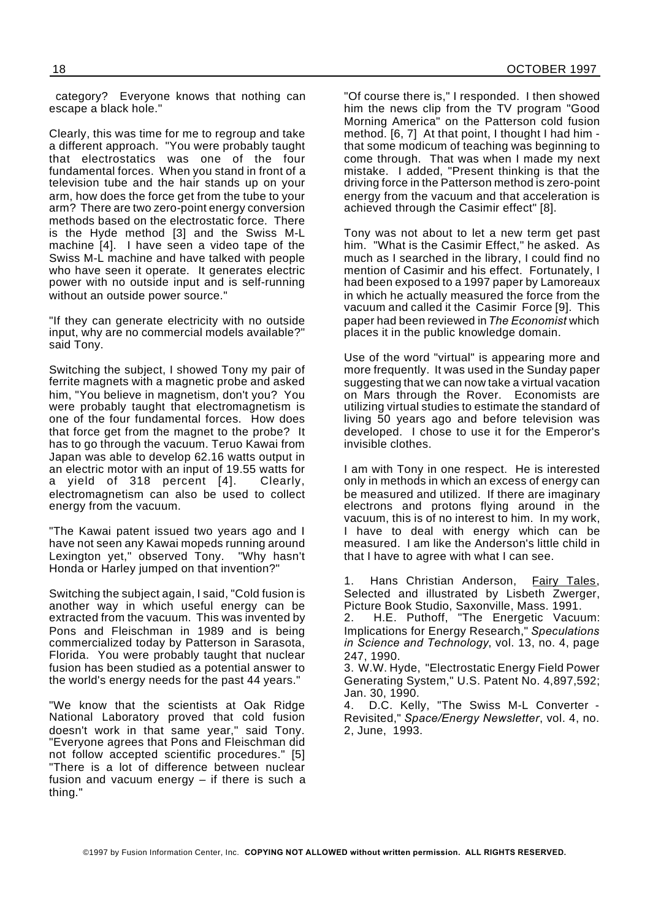category? Everyone knows that nothing can escape a black hole."

Clearly, this was time for me to regroup and take a different approach. "You were probably taught that electrostatics was one of the four fundamental forces. When you stand in front of a television tube and the hair stands up on your arm, how does the force get from the tube to your arm? There are two zero-point energy conversion methods based on the electrostatic force. There is the Hyde method [3] and the Swiss M-L machine [4]. I have seen a video tape of the Swiss M-L machine and have talked with people who have seen it operate. It generates electric power with no outside input and is self-running without an outside power source."

"If they can generate electricity with no outside input, why are no commercial models available?" said Tony.

Switching the subject, I showed Tony my pair of ferrite magnets with a magnetic probe and asked him, "You believe in magnetism, don't you? You were probably taught that electromagnetism is one of the four fundamental forces. How does that force get from the magnet to the probe? It has to go through the vacuum. Teruo Kawai from Japan was able to develop 62.16 watts output in an electric motor with an input of 19.55 watts for a yield of 318 percent [4]. Clearly, electromagnetism can also be used to collect energy from the vacuum.

"The Kawai patent issued two years ago and I have not seen any Kawai mopeds running around Lexington yet," observed Tony. "Why hasn't Honda or Harley jumped on that invention?"

Switching the subject again, I said, "Cold fusion is another way in which useful energy can be extracted from the vacuum. This was invented by Pons and Fleischman in 1989 and is being commercialized today by Patterson in Sarasota, Florida. You were probably taught that nuclear fusion has been studied as a potential answer to the world's energy needs for the past 44 years."

"We know that the scientists at Oak Ridge National Laboratory proved that cold fusion doesn't work in that same year," said Tony. "Everyone agrees that Pons and Fleischman did not follow accepted scientific procedures." [5] "There is a lot of difference between nuclear fusion and vacuum energy – if there is such a thing."

"Of course there is," I responded. I then showed him the news clip from the TV program "Good Morning America" on the Patterson cold fusion method. [6, 7] At that point, I thought I had him that some modicum of teaching was beginning to come through. That was when I made my next mistake. I added, "Present thinking is that the driving force in the Patterson method is zero-point energy from the vacuum and that acceleration is achieved through the Casimir effect" [8].

Tony was not about to let a new term get past him. "What is the Casimir Effect," he asked. As much as I searched in the library, I could find no mention of Casimir and his effect. Fortunately, I had been exposed to a 1997 paper by Lamoreaux in which he actually measured the force from the vacuum and called it the Casimir Force [9]. This paper had been reviewed in*The Economist* which places it in the public knowledge domain.

Use of the word "virtual" is appearing more and more frequently. It was used in the Sunday paper suggesting that we can now take a virtual vacation on Mars through the Rover. Economists are utilizing virtual studies to estimate the standard of living 50 years ago and before television was developed. I chose to use it for the Emperor's invisible clothes.

I am with Tony in one respect. He is interested only in methods in which an excess of energy can be measured and utilized. If there are imaginary electrons and protons flying around in the vacuum, this is of no interest to him. In my work, I have to deal with energy which can be measured. I am like the Anderson's little child in that I have to agree with what I can see.

1. Hans Christian Anderson, Fairy Tales, Selected and illustrated by Lisbeth Zwerger, Picture Book Studio, Saxonville, Mass. 1991.

2. H.E. Puthoff, "The Energetic Vacuum: Implications for Energy Research," *Speculations in Science and Technology*, vol. 13, no. 4, page 247, 1990.

3. W.W. Hyde, "Electrostatic Energy Field Power Generating System," U.S. Patent No. 4,897,592; Jan. 30, 1990.

4. D.C. Kelly, "The Swiss M-L Converter - Revisited," *Space/Energy Newsletter*, vol. 4, no. 2, June, 1993.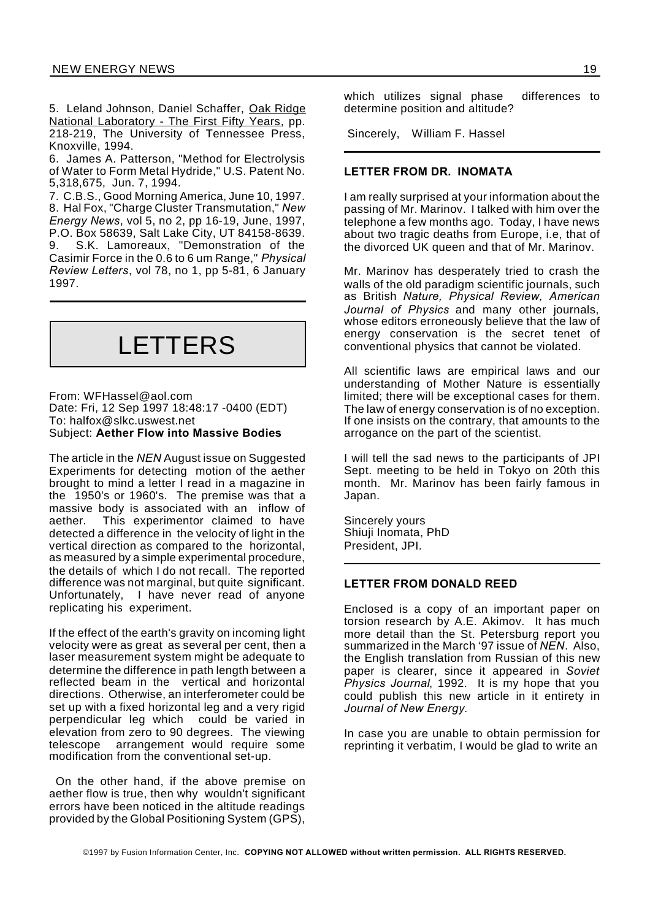5. Leland Johnson, Daniel Schaffer, Oak Ridge National Laboratory - The First Fifty Years, pp. 218-219, The University of Tennessee Press, Knoxville, 1994.

6. James A. Patterson, "Method for Electrolysis of Water to Form Metal Hydride," U.S. Patent No. 5,318,675, Jun. 7, 1994.

7. C.B.S., Good Morning America, June 10, 1997. 8. Hal Fox, "Charge Cluster Transmutation," *New Energy News*, vol 5, no 2, pp 16-19, June, 1997, P.O. Box 58639, Salt Lake City, UT 84158-8639. 9. S.K. Lamoreaux, "Demonstration of the Casimir Force in the 0.6 to 6 um Range," *Physical Review Letters*, vol 78, no 1, pp 5-81, 6 January 1997.

## LETTERS

From: WFHassel@aol.com Date: Fri, 12 Sep 1997 18:48:17 -0400 (EDT) To: halfox@slkc.uswest.net Subject: **Aether Flow into Massive Bodies**

The article in the *NEN* August issue on Suggested Experiments for detecting motion of the aether brought to mind a letter I read in a magazine in the 1950's or 1960's. The premise was that a massive body is associated with an inflow of aether. This experimentor claimed to have detected a difference in the velocity of light in the vertical direction as compared to the horizontal, as measured by a simple experimental procedure, the details of which I do not recall. The reported difference was not marginal, but quite significant. Unfortunately, I have never read of anyone replicating his experiment.

If the effect of the earth's gravity on incoming light velocity were as great as several per cent, then a laser measurement system might be adequate to determine the difference in path length between a reflected beam in the vertical and horizontal directions. Otherwise, an interferometer could be set up with a fixed horizontal leg and a very rigid perpendicular leg which could be varied in elevation from zero to 90 degrees. The viewing telescope arrangement would require some modification from the conventional set-up.

On the other hand, if the above premise on aether flow is true, then why wouldn't significant errors have been noticed in the altitude readings provided by the Global Positioning System (GPS),

which utilizes signal phase differences to determine position and altitude?

Sincerely, William F. Hassel

## **LETTER FROM DR. INOMATA**

I am really surprised at your information about the passing of Mr. Marinov. I talked with him over the telephone a few months ago. Today, I have news about two tragic deaths from Europe, i.e, that of the divorced UK queen and that of Mr. Marinov.

Mr. Marinov has desperately tried to crash the walls of the old paradigm scientific journals, such as British *Nature, Physical Review, American Journal of Physics* and many other journals, whose editors erroneously believe that the law of energy conservation is the secret tenet of conventional physics that cannot be violated.

All scientific laws are empirical laws and our understanding of Mother Nature is essentially limited; there will be exceptional cases for them. The law of energy conservation is of no exception. If one insists on the contrary, that amounts to the arrogance on the part of the scientist.

I will tell the sad news to the participants of JPI Sept. meeting to be held in Tokyo on 20th this month. Mr. Marinov has been fairly famous in Japan.

Sincerely yours Shiuji Inomata, PhD President, JPI.

### **LETTER FROM DONALD REED**

Enclosed is a copy of an important paper on torsion research by A.E. Akimov. It has much more detail than the St. Petersburg report you summarized in the March '97 issue of *NEN*. Also, the English translation from Russian of this new paper is clearer, since it appeared in *Soviet Physics Journal*, 1992. It is my hope that you could publish this new article in it entirety in *Journal of New Energy*.

In case you are unable to obtain permission for reprinting it verbatim, I would be glad to write an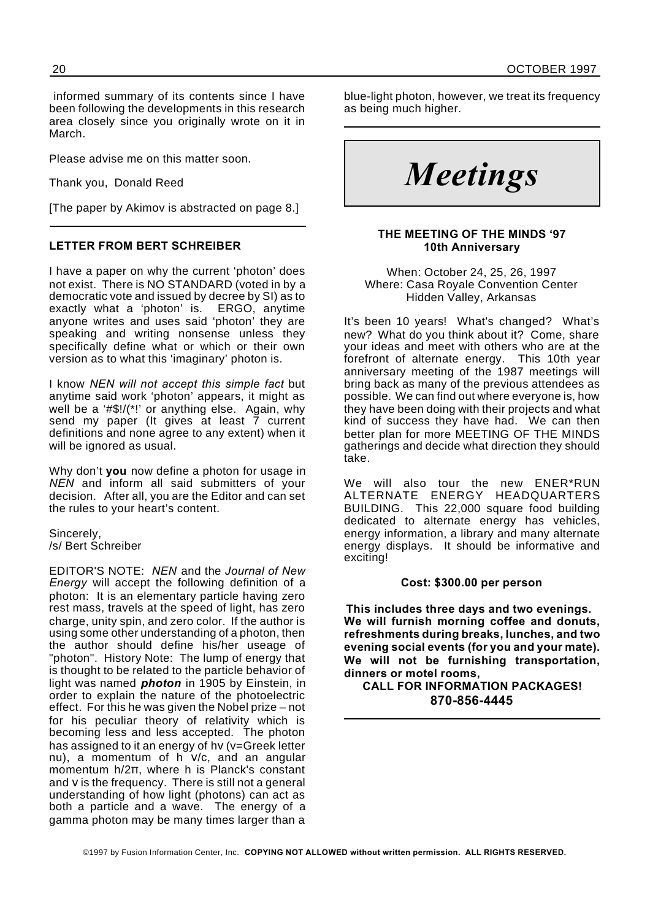informed summary of its contents since I have been following the developments in this research area closely since you originally wrote on it in March.

Please advise me on this matter soon.

Thank you, Donald Reed

[The paper by Akimov is abstracted on page 8.]

## **LETTER FROM BERT SCHREIBER**

I have a paper on why the current 'photon' does not exist. There is NO STANDARD (voted in by a democratic vote and issued by decree by SI) as to exactly what a 'photon' is. ERGO, anytime anyone writes and uses said 'photon' they are speaking and writing nonsense unless they specifically define what or which or their own version as to what this 'imaginary' photon is.

I know *NEN will not accept this simple fact* but anytime said work 'photon' appears, it might as well be a '#\$!/(\*!' or anything else. Again, why send my paper (It gives at least 7 current definitions and none agree to any extent) when it will be ignored as usual.

Why don't **you** now define a photon for usage in *NEN* and inform all said submitters of your decision. After all, you are the Editor and can set the rules to your heart's content.

Sincerely, /s/ Bert Schreiber

EDITOR'S NOTE: *NEN* and the *Journal of New Energy* will accept the following definition of a photon: It is an elementary particle having zero rest mass, travels at the speed of light, has zero charge, unity spin, and zero color. If the author is using some other understanding of a photon, then the author should define his/her useage of "photon". History Note: The lump of energy that is thought to be related to the particle behavior of light was named *photon* in 1905 by Einstein, in order to explain the nature of the photoelectric effect. For this he was given the Nobel prize – not for his peculiar theory of relativity which is becoming less and less accepted. The photon has assigned to it an energy of hv ( $v=G$ reek letter nu), a momentum of  $h$   $v/c$ , and an angular momentum  $h/2\pi$ , where h is Planck's constant and V is the frequency. There is still not a general understanding of how light (photons) can act as both a particle and a wave. The energy of a gamma photon may be many times larger than a

blue-light photon, however, we treat its frequency as being much higher.

*Meetings*

## **THE MEETING OF THE MINDS '97 10th Anniversary**

When: October 24, 25, 26, 1997 Where: Casa Royale Convention Center Hidden Valley, Arkansas

It's been 10 years! What's changed? What's new? What do you think about it? Come, share your ideas and meet with others who are at the forefront of alternate energy. This 10th year anniversary meeting of the 1987 meetings will bring back as many of the previous attendees as possible. We can find out where everyone is, how they have been doing with their projects and what kind of success they have had. We can then better plan for more MEETING OF THE MINDS gatherings and decide what direction they should take.

We will also tour the new ENER\*RUN ALTERNATE ENERGY HEADQUARTERS BUILDING. This 22,000 square food building dedicated to alternate energy has vehicles, energy information, a library and many alternate energy displays. It should be informative and exciting!

## **Cost: \$300.00 per person**

**This includes three days and two evenings. We will furnish morning coffee and donuts, refreshments during breaks, lunches, and two evening social events (for you and your mate). We will not be furnishing transportation, dinners or motel rooms,**

**CALL FOR INFORMATION PACKAGES! 870-856-4445**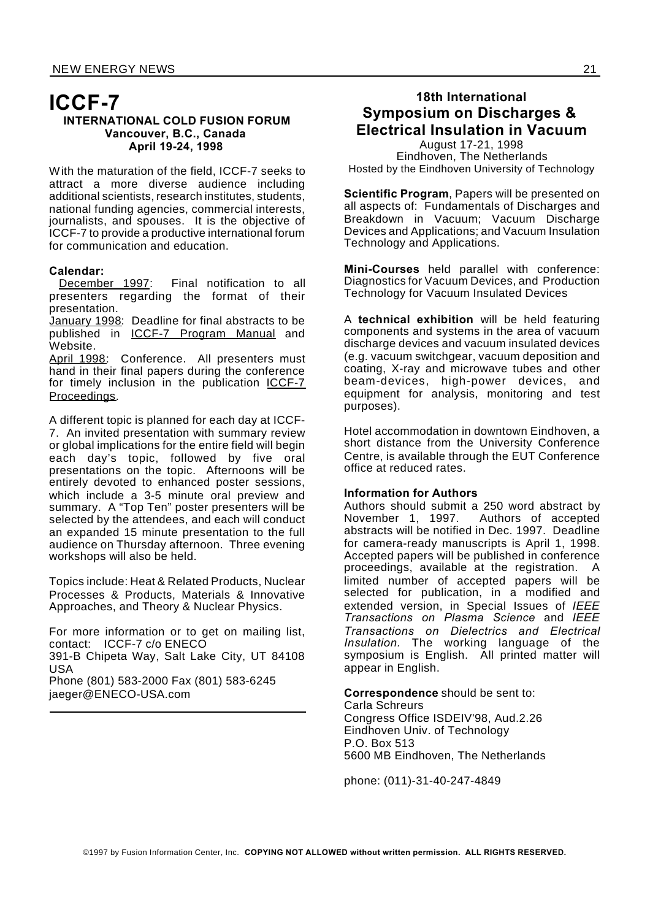## **ICCF-7 INTERNATIONAL COLD FUSION FORUM Vancouver, B.C., Canada April 19-24, 1998**

With the maturation of the field, ICCF-7 seeks to attract a more diverse audience including additional scientists, research institutes, students, national funding agencies, commercial interests, journalists, and spouses. It is the objective of ICCF-7 to provide a productive international forum for communication and education.

Calendar:<br>December 1997: Final notification to all presenters regarding the format of their presentation.

January 1998: Deadline for final abstracts to be published in ICCF-7 Program Manual and Website.

April 1998: Conference. All presenters must hand in their final papers during the conference for timely inclusion in the publication ICCF-7 Proceedings.

A different topic is planned for each day at ICCF-7. An invited presentation with summary review or global implications for the entire field will begin each day's topic, followed by five oral presentations on the topic. Afternoons will be entirely devoted to enhanced poster sessions, which include a 3-5 minute oral preview and summary. A "Top Ten" poster presenters will be selected by the attendees, and each will conduct an expanded 15 minute presentation to the full audience on Thursday afternoon. Three evening workshops will also be held.

Topics include: Heat & Related Products, Nuclear Processes & Products, Materials & Innovative Approaches, and Theory & Nuclear Physics.

For more information or to get on mailing list, contact: ICCF-7 c/o ENECO 391-B Chipeta Way, Salt Lake City, UT 84108 USA Phone (801) 583-2000 Fax (801) 583-6245 jaeger@ENECO-USA.com

## **18th International Symposium on Discharges & Electrical Insulation in Vacuum**

August 17-21, 1998 Eindhoven, The Netherlands Hosted by the Eindhoven University of Technology

**Scientific Program**, Papers will be presented on all aspects of: Fundamentals of Discharges and Breakdown in Vacuum; Vacuum Discharge Devices and Applications; and Vacuum Insulation Technology and Applications.

**Mini-Courses** held parallel with conference: Diagnostics for Vacuum Devices, and Production Technology for Vacuum Insulated Devices

A **technical exhibition** will be held featuring components and systems in the area of vacuum discharge devices and vacuum insulated devices (e.g. vacuum switchgear, vacuum deposition and coating, X-ray and microwave tubes and other beam-devices, high-power devices, and equipment for analysis, monitoring and test purposes).

Hotel accommodation in downtown Eindhoven, a short distance from the University Conference Centre, is available through the EUT Conference office at reduced rates.

## **Information for Authors**

Authors should submit a 250 word abstract by November 1, 1997. Authors of accepted abstracts will be notified in Dec. 1997. Deadline for camera-ready manuscripts is April 1, 1998. Accepted papers will be published in conference proceedings, available at the registration. A limited number of accepted papers will be selected for publication, in a modified and extended version, in Special Issues of *IEEE Transactions on Plasma Science* and *IEEE Transactions on Dielectrics and Electrical Insulation.* The working language of the symposium is English. All printed matter will appear in English.

**Correspondence** should be sent to: Carla Schreurs Congress Office ISDEIV'98, Aud.2.26 Eindhoven Univ. of Technology P.O. Box 513 5600 MB Eindhoven, The Netherlands

phone: (011)-31-40-247-4849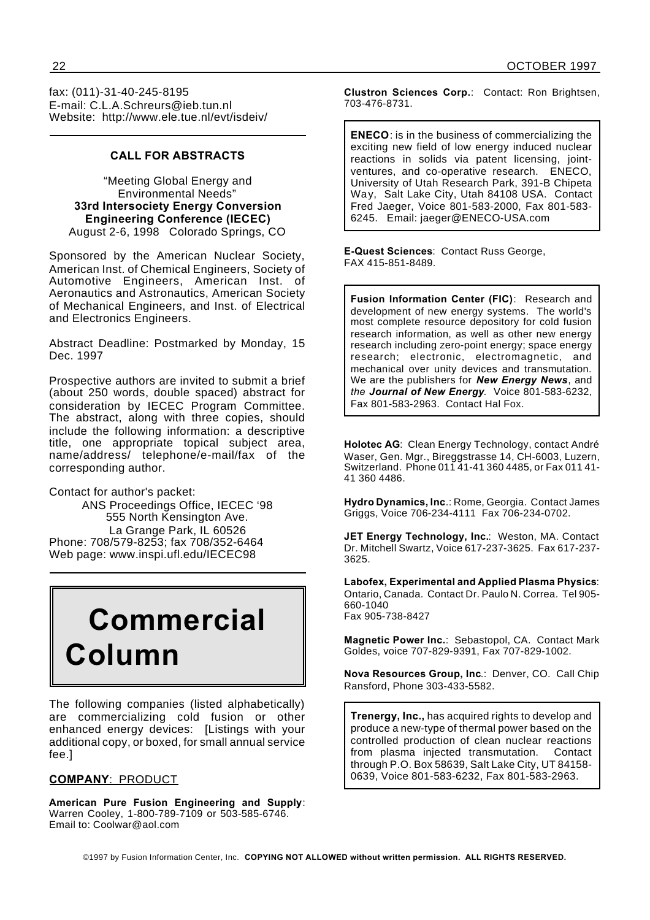fax: (011)-31-40-245-8195 E-mail: C.L.A.Schreurs@ieb.tun.nl Website: http://www.ele.tue.nl/evt/isdeiv/

## **CALL FOR ABSTRACTS**

"Meeting Global Energy and Environmental Needs" **33rd Intersociety Energy Conversion Engineering Conference (IECEC)** August 2-6, 1998 Colorado Springs, CO

Sponsored by the American Nuclear Society, American Inst. of Chemical Engineers, Society of Automotive Engineers, American Inst. of Aeronautics and Astronautics, American Society of Mechanical Engineers, and Inst. of Electrical and Electronics Engineers.

Abstract Deadline: Postmarked by Monday, 15 Dec. 1997

Prospective authors are invited to submit a brief (about 250 words, double spaced) abstract for consideration by IECEC Program Committee. The abstract, along with three copies, should include the following information: a descriptive title, one appropriate topical subject area, name/address/ telephone/e-mail/fax of the corresponding author.

Contact for author's packet:

ANS Proceedings Office, IECEC '98 555 North Kensington Ave. La Grange Park, IL 60526 Phone: 708/579-8253; fax 708/352-6464 Web page: www.inspi.ufl.edu/IECEC98

# **Commercial Column**

The following companies (listed alphabetically) are commercializing cold fusion or other enhanced energy devices: [Listings with your additional copy, or boxed, for small annual service fee.]

## **COMPANY**: PRODUCT

**American Pure Fusion Engineering and Supply**: Warren Cooley, 1-800-789-7109 or 503-585-6746. Email to: Coolwar@aol.com

**Clustron Sciences Corp.**: Contact: Ron Brightsen, 703-476-8731.

**ENECO**: is in the business of commercializing the exciting new field of low energy induced nuclear reactions in solids via patent licensing, jointventures, and co-operative research. ENECO, University of Utah Research Park, 391-B Chipeta Way, Salt Lake City, Utah 84108 USA. Contact Fred Jaeger, Voice 801-583-2000, Fax 801-583- 6245. Email: jaeger@ENECO-USA.com

**E-Quest Sciences**: Contact Russ George, FAX 415-851-8489.

**Fusion Information Center (FIC)**: Research and development of new energy systems. The world's most complete resource depository for cold fusion research information, as well as other new energy research including zero-point energy; space energy research; electronic, electromagnetic, and mechanical over unity devices and transmutation. We are the publishers for *New Energy News*, and *the Journal of New Energy.* Voice 801-583-6232, Fax 801-583-2963. Contact Hal Fox.

**Holotec AG**: Clean Energy Technology, contact André Waser, Gen. Mgr., Bireggstrasse 14, CH-6003, Luzern, Switzerland. Phone 011 41-41 360 4485, or Fax 011 41- 41 360 4486.

**Hydro Dynamics, Inc**.: Rome, Georgia. Contact James Griggs, Voice 706-234-4111 Fax 706-234-0702.

**JET Energy Technology, Inc.**: Weston, MA. Contact Dr. Mitchell Swartz, Voice 617-237-3625. Fax 617-237- 3625.

**Labofex, Experimental and Applied Plasma Physics**: Ontario, Canada. Contact Dr. Paulo N. Correa. Tel 905- 660-1040 Fax 905-738-8427

**Magnetic Power Inc.**: Sebastopol, CA. Contact Mark Goldes, voice 707-829-9391, Fax 707-829-1002.

**Nova Resources Group, Inc**.: Denver, CO. Call Chip Ransford, Phone 303-433-5582.

**Trenergy, Inc.,** has acquired rights to develop and produce a new-type of thermal power based on the controlled production of clean nuclear reactions from plasma injected transmutation. Contact through P.O. Box 58639, Salt Lake City, UT 84158- 0639, Voice 801-583-6232, Fax 801-583-2963.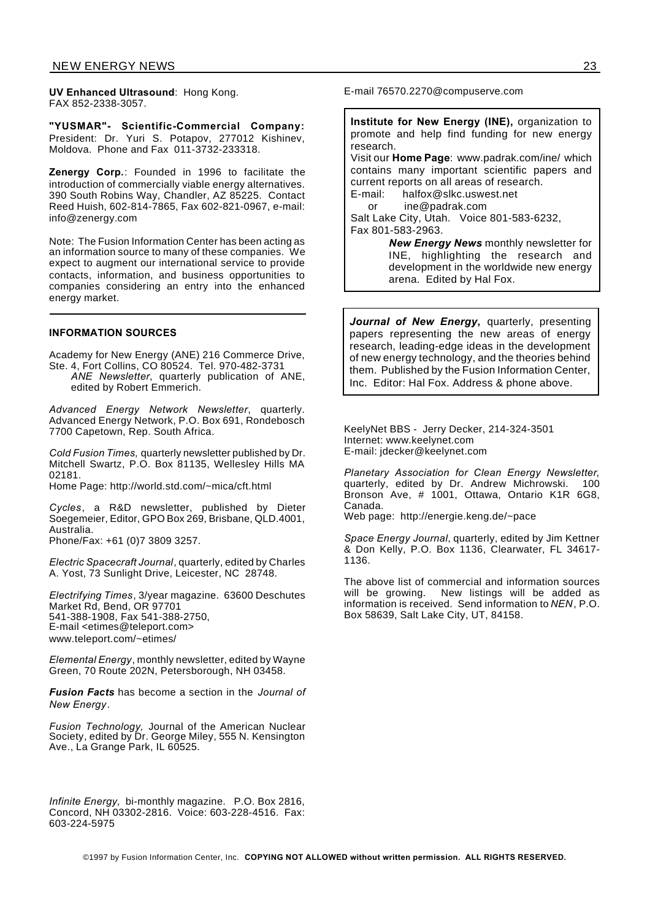**UV Enhanced Ultrasound**: Hong Kong. FAX 852-2338-3057.

**"YUSMAR"- Scientific-Commercial Company:** President: Dr. Yuri S. Potapov, 277012 Kishinev, Moldova. Phone and Fax 011-3732-233318.

**Zenergy Corp.**: Founded in 1996 to facilitate the introduction of commercially viable energy alternatives. 390 South Robins Way, Chandler, AZ 85225. Contact Reed Huish, 602-814-7865, Fax 602-821-0967, e-mail: info@zenergy.com

Note: The Fusion Information Center has been acting as an information source to many of these companies. We expect to augment our international service to provide contacts, information, and business opportunities to companies considering an entry into the enhanced energy market.

#### **INFORMATION SOURCES**

Academy for New Energy (ANE) 216 Commerce Drive, Ste. 4, Fort Collins, CO 80524. Tel. 970-482-3731

*ANE Newsletter*, quarterly publication of ANE, edited by Robert Emmerich.

*Advanced Energy Network Newsletter*, quarterly. Advanced Energy Network, P.O. Box 691, Rondebosch 7700 Capetown, Rep. South Africa.

*Cold Fusion Times,* quarterly newsletter published by Dr. Mitchell Swartz, P.O. Box 81135, Wellesley Hills MA 02181.

Home Page: http://world.std.com/~mica/cft.html

*Cycles*, a R&D newsletter, published by Dieter Soegemeier, Editor, GPO Box 269, Brisbane, QLD.4001, Australia.

Phone/Fax: +61 (0)7 3809 3257.

*Electric Spacecraft Journal*, quarterly, edited by Charles A. Yost, 73 Sunlight Drive, Leicester, NC 28748.

*Electrifying Times*, 3/year magazine. 63600 Deschutes Market Rd, Bend, OR 97701 541-388-1908, Fax 541-388-2750, E-mail <etimes@teleport.com> www.teleport.com/~etimes/

*Elemental Energy*, monthly newsletter, edited by Wayne Green, 70 Route 202N, Petersborough, NH 03458.

*Fusion Facts* has become a section in the *Journal of New Energy*.

*Fusion Technology,* Journal of the American Nuclear Society, edited by Dr. George Miley, 555 N. Kensington Ave., La Grange Park, IL 60525.

*Infinite Energy,* bi-monthly magazine. P.O. Box 2816, Concord, NH 03302-2816. Voice: 603-228-4516. Fax: 603-224-5975

E-mail 76570.2270@compuserve.com

**Institute for New Energy (INE),** organization to promote and help find funding for new energy research.

Visit our **Home Page**: www.padrak.com/ine/ which contains many important scientific papers and current reports on all areas of research. E-mail: halfox@slkc.uswest.net

or ine@padrak.com

Salt Lake City, Utah. Voice 801-583-6232, Fax 801-583-2963.

> *New Energy News* monthly newsletter for INE, highlighting the research and development in the worldwide new energy arena. Edited by Hal Fox.

*Journal of New Energy***,** quarterly, presenting papers representing the new areas of energy research, leading-edge ideas in the development of new energy technology, and the theories behind them. Published by the Fusion Information Center, Inc. Editor: Hal Fox. Address & phone above.

KeelyNet BBS - Jerry Decker, 214-324-3501 Internet: www.keelynet.com E-mail: jdecker@keelynet.com

*Planetary Association for Clean Energy Newsletter*, quarterly, edited by Dr. Andrew Michrowski. 100 Bronson Ave, # 1001, Ottawa, Ontario K1R 6G8, Canada.

Web page: http://energie.keng.de/~pace

*Space Energy Journal*, quarterly, edited by Jim Kettner & Don Kelly, P.O. Box 1136, Clearwater, FL 34617- 1136.

The above list of commercial and information sources will be growing. New listings will be added as information is received. Send information to *NEN*, P.O. Box 58639, Salt Lake City, UT, 84158.

©1997 by Fusion Information Center, Inc. **COPYING NOT ALLOWED without written permission. ALL RIGHTS RESERVED.**